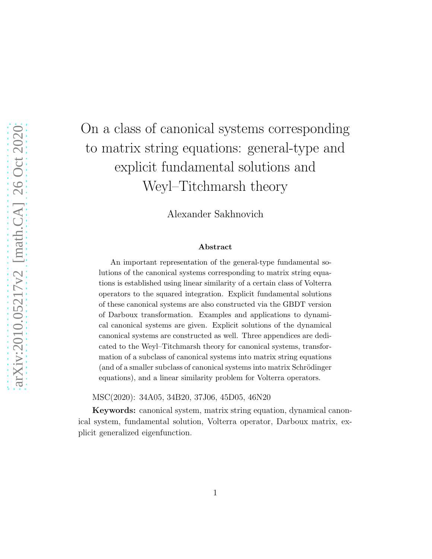# On a class of canonical systems corresponding to matrix string equations: general-type and explicit fundamental solutions and Weyl–Titchmarsh theory

Alexander Sakhnovich

#### Abstract

An important representation of the general-type fundamental solutions of the canonical systems corresponding to matrix string equations is established using linear similarity of a certain class of Volterra operators to the squared integration. Explicit fundamental solutions of these canonical systems are also constructed via the GBDT version of Darboux transformation. Examples and applications to dynamical canonical systems are given. Explicit solutions of the dynamical canonical systems are constructed as well. Three appendices are dedicated to the Weyl–Titchmarsh theory for canonical systems, transformation of a subclass of canonical systems into matrix string equations (and of a smaller subclass of canonical systems into matrix Schrödinger equations), and a linear similarity problem for Volterra operators.

MSC(2020): 34A05, 34B20, 37J06, 45D05, 46N20

Keywords: canonical system, matrix string equation, dynamical canonical system, fundamental solution, Volterra operator, Darboux matrix, explicit generalized eigenfunction.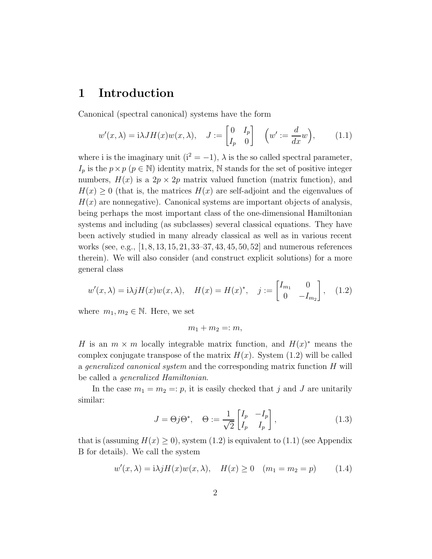#### 1 Introduction

Canonical (spectral canonical) systems have the form

$$
w'(x,\lambda) = i\lambda J H(x)w(x,\lambda), \quad J := \begin{bmatrix} 0 & I_p \\ I_p & 0 \end{bmatrix} \quad \left(w' := \frac{d}{dx}w\right), \tag{1.1}
$$

where i is the imaginary unit ( $i^2 = -1$ ),  $\lambda$  is the so called spectral parameter,  $I_p$  is the  $p \times p$  ( $p \in \mathbb{N}$ ) identity matrix, N stands for the set of positive integer numbers,  $H(x)$  is a  $2p \times 2p$  matrix valued function (matrix function), and  $H(x) \geq 0$  (that is, the matrices  $H(x)$  are self-adjoint and the eigenvalues of  $H(x)$  are nonnegative). Canonical systems are important objects of analysis, being perhaps the most important class of the one-dimensional Hamiltonian systems and including (as subclasses) several classical equations. They have been actively studied in many already classical as well as in various recent works (see, e.g., [1, 8, 13, 15, 21, 33–37, 43, 45, 50, 52] and numerous references therein). We will also consider (and construct explicit solutions) for a more general class

$$
w'(x,\lambda) = i\lambda j H(x)w(x,\lambda), \quad H(x) = H(x)^*, \quad j := \begin{bmatrix} I_{m_1} & 0 \\ 0 & -I_{m_2} \end{bmatrix}, \quad (1.2)
$$

where  $m_1, m_2 \in \mathbb{N}$ . Here, we set

$$
m_1+m_2=:m,
$$

H is an  $m \times m$  locally integrable matrix function, and  $H(x)^*$  means the complex conjugate transpose of the matrix  $H(x)$ . System (1.2) will be called a generalized canonical system and the corresponding matrix function H will be called a generalized Hamiltonian.

In the case  $m_1 = m_2 =: p$ , it is easily checked that j and J are unitarily similar:

$$
J = \Theta j \Theta^*, \quad \Theta := \frac{1}{\sqrt{2}} \begin{bmatrix} I_p & -I_p \\ I_p & I_p \end{bmatrix},
$$
(1.3)

that is (assuming  $H(x) \geq 0$ ), system (1.2) is equivalent to (1.1) (see Appendix B for details). We call the system

$$
w'(x, \lambda) = i\lambda j H(x) w(x, \lambda), \quad H(x) \ge 0 \quad (m_1 = m_2 = p) \tag{1.4}
$$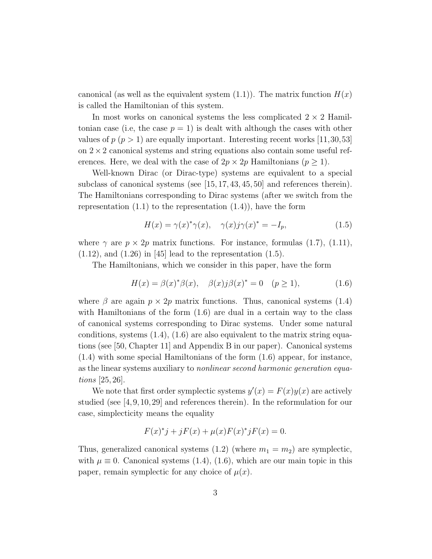canonical (as well as the equivalent system  $(1.1)$ ). The matrix function  $H(x)$ is called the Hamiltonian of this system.

In most works on canonical systems the less complicated  $2 \times 2$  Hamiltonian case (i.e, the case  $p = 1$ ) is dealt with although the cases with other values of  $p (p > 1)$  are equally important. Interesting recent works [11,30,53] on  $2 \times 2$  canonical systems and string equations also contain some useful references. Here, we deal with the case of  $2p \times 2p$  Hamiltonians  $(p \ge 1)$ .

Well-known Dirac (or Dirac-type) systems are equivalent to a special subclass of canonical systems (see  $|15, 17, 43, 45, 50|$  and references therein). The Hamiltonians corresponding to Dirac systems (after we switch from the representation  $(1.1)$  to the representation  $(1.4)$ , have the form

$$
H(x) = \gamma(x)^{*}\gamma(x), \quad \gamma(x)j\gamma(x)^{*} = -I_{p}, \tag{1.5}
$$

where  $\gamma$  are  $p \times 2p$  matrix functions. For instance, formulas (1.7), (1.11),  $(1.12)$ , and  $(1.26)$  in [45] lead to the representation  $(1.5)$ .

The Hamiltonians, which we consider in this paper, have the form

$$
H(x) = \beta(x)^{*}\beta(x), \quad \beta(x)j\beta(x)^{*} = 0 \quad (p \ge 1),
$$
 (1.6)

where  $\beta$  are again  $p \times 2p$  matrix functions. Thus, canonical systems (1.4) with Hamiltonians of the form (1.6) are dual in a certain way to the class of canonical systems corresponding to Dirac systems. Under some natural conditions, systems  $(1.4)$ ,  $(1.6)$  are also equivalent to the matrix string equations (see [50, Chapter 11] and Appendix B in our paper). Canonical systems (1.4) with some special Hamiltonians of the form (1.6) appear, for instance, as the linear systems auxiliary to nonlinear second harmonic generation equations [25, 26].

We note that first order symplectic systems  $y'(x) = F(x)y(x)$  are actively studied (see  $[4,9,10,29]$  and references therein). In the reformulation for our case, simplecticity means the equality

$$
F(x)^{*}j + jF(x) + \mu(x)F(x)^{*}jF(x) = 0.
$$

Thus, generalized canonical systems  $(1.2)$  (where  $m_1 = m_2$ ) are symplectic, with  $\mu \equiv 0$ . Canonical systems (1.4), (1.6), which are our main topic in this paper, remain symplectic for any choice of  $\mu(x)$ .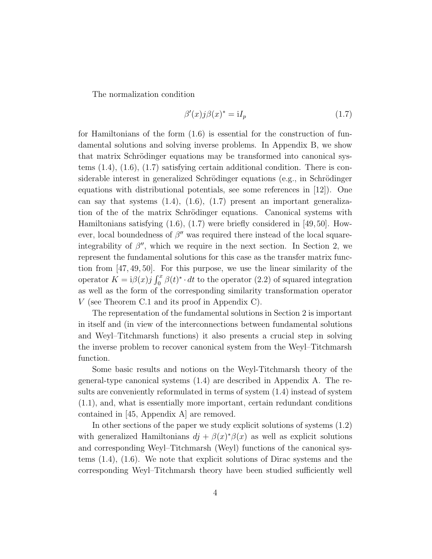The normalization condition

$$
\beta'(x)j\beta(x)^* = iI_p \tag{1.7}
$$

for Hamiltonians of the form  $(1.6)$  is essential for the construction of fundamental solutions and solving inverse problems. In Appendix B, we show that matrix Schrödinger equations may be transformed into canonical systems (1.4), (1.6), (1.7) satisfying certain additional condition. There is considerable interest in generalized Schrödinger equations (e.g., in Schrödinger equations with distributional potentials, see some references in [12]). One can say that systems  $(1.4)$ ,  $(1.6)$ ,  $(1.7)$  present an important generalization of the of the matrix Schrödinger equations. Canonical systems with Hamiltonians satisfying (1.6), (1.7) were briefly considered in [49, 50]. However, local boundedness of  $\beta''$  was required there instead of the local squareintegrability of  $\beta''$ , which we require in the next section. In Section 2, we represent the fundamental solutions for this case as the transfer matrix function from [47, 49, 50]. For this purpose, we use the linear similarity of the operator  $K = i\beta(x)j \int_0^x \beta(t)^* \cdot dt$  to the operator (2.2) of squared integration as well as the form of the corresponding similarity transformation operator V (see Theorem C.1 and its proof in Appendix C).

The representation of the fundamental solutions in Section 2 is important in itself and (in view of the interconnections between fundamental solutions and Weyl–Titchmarsh functions) it also presents a crucial step in solving the inverse problem to recover canonical system from the Weyl–Titchmarsh function.

Some basic results and notions on the Weyl-Titchmarsh theory of the general-type canonical systems (1.4) are described in Appendix A. The results are conveniently reformulated in terms of system (1.4) instead of system (1.1), and, what is essentially more important, certain redundant conditions contained in [45, Appendix A] are removed.

In other sections of the paper we study explicit solutions of systems (1.2) with generalized Hamiltonians  $dj + \beta(x)^{*}\beta(x)$  as well as explicit solutions and corresponding Weyl–Titchmarsh (Weyl) functions of the canonical systems (1.4), (1.6). We note that explicit solutions of Dirac systems and the corresponding Weyl–Titchmarsh theory have been studied sufficiently well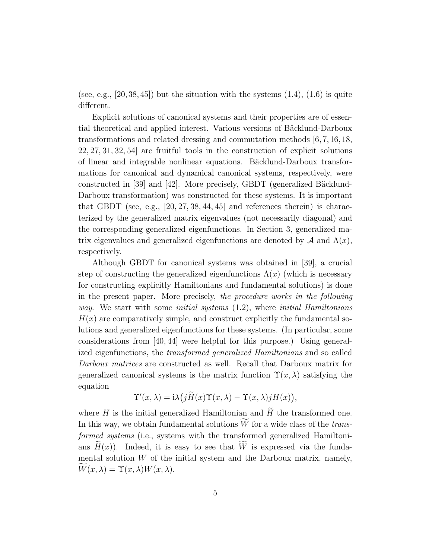(see, e.g.,  $|20, 38, 45|$ ) but the situation with the systems  $(1.4)$ ,  $(1.6)$  is quite different.

Explicit solutions of canonical systems and their properties are of essential theoretical and applied interest. Various versions of Bäcklund-Darboux transformations and related dressing and commutation methods [6, 7, 16, 18, 22, 27, 31, 32, 54] are fruitful tools in the construction of explicit solutions of linear and integrable nonlinear equations. Bäcklund-Darboux transformations for canonical and dynamical canonical systems, respectively, were constructed in [39] and [42]. More precisely, GBDT (generalized Bäcklund-Darboux transformation) was constructed for these systems. It is important that GBDT (see, e.g.,  $[20, 27, 38, 44, 45]$  and references therein) is characterized by the generalized matrix eigenvalues (not necessarily diagonal) and the corresponding generalized eigenfunctions. In Section 3, generalized matrix eigenvalues and generalized eigenfunctions are denoted by  $\mathcal A$  and  $\Lambda(x)$ , respectively.

Although GBDT for canonical systems was obtained in [39], a crucial step of constructing the generalized eigenfunctions  $\Lambda(x)$  (which is necessary for constructing explicitly Hamiltonians and fundamental solutions) is done in the present paper. More precisely, the procedure works in the following *way.* We start with some *initial systems*  $(1.2)$ , where *initial Hamiltonians*  $H(x)$  are comparatively simple, and construct explicitly the fundamental solutions and generalized eigenfunctions for these systems. (In particular, some considerations from [40, 44] were helpful for this purpose.) Using generalized eigenfunctions, the transformed generalized Hamiltonians and so called Darboux matrices are constructed as well. Recall that Darboux matrix for generalized canonical systems is the matrix function  $\Upsilon(x, \lambda)$  satisfying the equation

$$
\Upsilon'(x,\lambda) = i\lambda \big( j\widetilde{H}(x)\Upsilon(x,\lambda) - \Upsilon(x,\lambda) jH(x) \big),
$$

where H is the initial generalized Hamiltonian and  $\widetilde{H}$  the transformed one. In this way, we obtain fundamental solutions  $\widetilde{W}$  for a wide class of the *trans*formed systems (i.e., systems with the transformed generalized Hamiltonians  $H(x)$ ). Indeed, it is easy to see that W is expressed via the fundamental solution  $W$  of the initial system and the Darboux matrix, namely,  $W(x, \lambda) = \Upsilon(x, \lambda)W(x, \lambda).$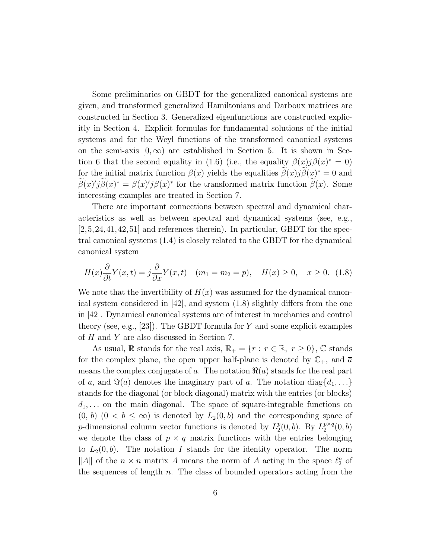Some preliminaries on GBDT for the generalized canonical systems are given, and transformed generalized Hamiltonians and Darboux matrices are constructed in Section 3. Generalized eigenfunctions are constructed explicitly in Section 4. Explicit formulas for fundamental solutions of the initial systems and for the Weyl functions of the transformed canonical systems on the semi-axis  $[0, \infty)$  are established in Section 5. It is shown in Section 6 that the second equality in (1.6) (i.e., the equality  $\beta(x)j\beta(x)^* = 0$ ) for the initial matrix function  $\beta(x)$  yields the equalities  $\tilde{\beta}(x)j\tilde{\beta}(x)^* = 0$  and  $\tilde{\beta}(x)'\tilde{j}\tilde{\beta}(x)^* = \beta(x)'\tilde{j}\beta(x)^*$  for the transformed matrix function  $\tilde{\beta}(x)$ . Some interesting examples are treated in Section 7.

There are important connections between spectral and dynamical characteristics as well as between spectral and dynamical systems (see, e.g., [2,5,24,41,42,51] and references therein). In particular, GBDT for the spectral canonical systems (1.4) is closely related to the GBDT for the dynamical canonical system

$$
H(x)\frac{\partial}{\partial t}Y(x,t) = j\frac{\partial}{\partial x}Y(x,t) \quad (m_1 = m_2 = p), \quad H(x) \ge 0, \quad x \ge 0. \tag{1.8}
$$

We note that the invertibility of  $H(x)$  was assumed for the dynamical canonical system considered in [42], and system (1.8) slightly differs from the one in [42]. Dynamical canonical systems are of interest in mechanics and control theory (see, e.g., [23]). The GBDT formula for Y and some explicit examples of  $H$  and  $Y$  are also discussed in Section 7.

As usual, R stands for the real axis,  $\mathbb{R}_+ = \{r : r \in \mathbb{R}, r \geq 0\}$ , C stands for the complex plane, the open upper half-plane is denoted by  $\mathbb{C}_+$ , and  $\overline{a}$ means the complex conjugate of a. The notation  $\Re(a)$  stands for the real part of a, and  $\Im(a)$  denotes the imaginary part of a. The notation diag $\{d_1, \ldots\}$ stands for the diagonal (or block diagonal) matrix with the entries (or blocks)  $d_1, \ldots$  on the main diagonal. The space of square-integrable functions on  $(0, b)$   $(0 < b \leq \infty)$  is denoted by  $L_2(0, b)$  and the corresponding space of *p*-dimensional column vector functions is denoted by  $L_2^p$  $_{2}^{p}(0,b)$ . By  $L_{2}^{p\times q}$  $_2^{p\times q}(0,b)$ we denote the class of  $p \times q$  matrix functions with the entries belonging to  $L_2(0, b)$ . The notation I stands for the identity operator. The norm ||A|| of the  $n \times n$  matrix A means the norm of A acting in the space  $\ell_2^n$  of the sequences of length  $n$ . The class of bounded operators acting from the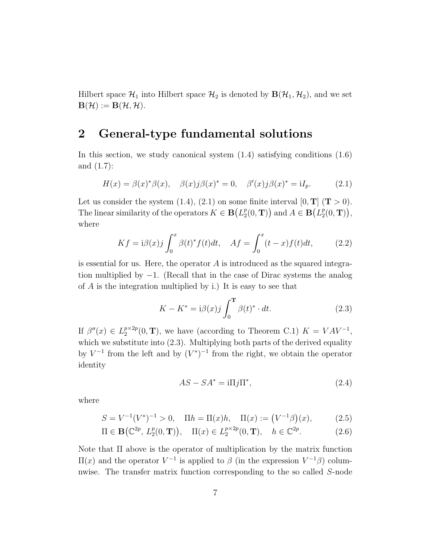Hilbert space  $\mathcal{H}_1$  into Hilbert space  $\mathcal{H}_2$  is denoted by  $\mathbf{B}(\mathcal{H}_1, \mathcal{H}_2)$ , and we set  $\mathbf{B}(\mathcal{H}):=\mathbf{B}(\mathcal{H},\mathcal{H}).$ 

### 2 General-type fundamental solutions

In this section, we study canonical system  $(1.4)$  satisfying conditions  $(1.6)$ and (1.7):

$$
H(x) = \beta(x)^{*}\beta(x), \quad \beta(x)j\beta(x)^{*} = 0, \quad \beta'(x)j\beta(x)^{*} = iI_{p}.
$$
 (2.1)

Let us consider the system (1.4), (2.1) on some finite interval  $[0, T]$  ( $T > 0$ ). The linear similarity of the operators  $K \in \mathbf{B}(L_2^p)$  $\binom{p}{2}(0, \mathbf{T})$  and  $A \in \mathbf{B}(L_2^p)$  $_{2}^{p}(0, \mathbf{T})),$ where

$$
Kf = i\beta(x)j\int_0^x \beta(t)^* f(t)dt, \quad Af = \int_0^x (t-x)f(t)dt,
$$
\n(2.2)

is essential for us. Here, the operator  $A$  is introduced as the squared integration multiplied by −1. (Recall that in the case of Dirac systems the analog of A is the integration multiplied by i.) It is easy to see that

$$
K - K^* = i\beta(x)j \int_0^{\mathbf{T}} \beta(t)^* \cdot dt.
$$
 (2.3)

If  $\beta''(x) \in L_2^{p \times 2p}$  $2^{p \times 2p}(0, T)$ , we have (according to Theorem C.1)  $K = VAV^{-1}$ , which we substitute into  $(2.3)$ . Multiplying both parts of the derived equality by  $V^{-1}$  from the left and by  $(V^*)^{-1}$  from the right, we obtain the operator identity

$$
AS - SA^* = i\Pi j\Pi^*,\tag{2.4}
$$

where

$$
S = V^{-1}(V^*)^{-1} > 0, \quad \Pi h = \Pi(x)h, \quad \Pi(x) := (V^{-1}\beta)(x), \tag{2.5}
$$

$$
\Pi \in \mathbf{B}\big(\mathbb{C}^{2p}, L_2^p(0, \mathbf{T})\big), \quad \Pi(x) \in L_2^{p \times 2p}(0, \mathbf{T}), \quad h \in \mathbb{C}^{2p}.\tag{2.6}
$$

Note that Π above is the operator of multiplication by the matrix function  $\Pi(x)$  and the operator  $V^{-1}$  is applied to β (in the expression  $V^{-1}β$ ) columnwise. The transfer matrix function corresponding to the so called S-node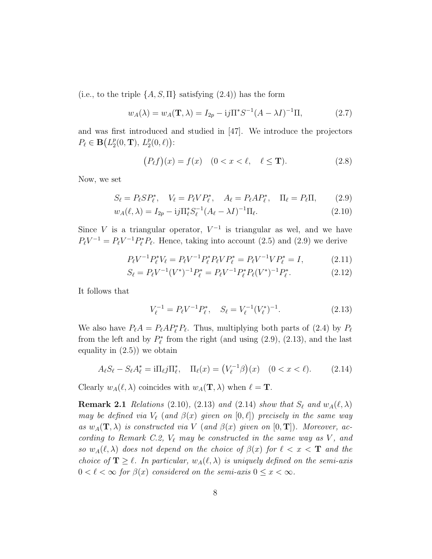(i.e., to the triple  $\{A, S, \Pi\}$  satisfying (2.4)) has the form

$$
w_A(\lambda) = w_A(\mathbf{T}, \lambda) = I_{2p} - i j \Pi^* S^{-1} (A - \lambda I)^{-1} \Pi,
$$
 (2.7)

and was first introduced and studied in [47]. We introduce the projectors  $P_{\ell} \in \mathbf{B}(L^p_2)$  $_{2}^{p}(0, T), L_{2}^{p}(0, \ell)$ :

$$
(P_{\ell}f)(x) = f(x) \quad (0 < x < \ell, \quad \ell \leq \mathbf{T}).\tag{2.8}
$$

Now, we set

$$
S_{\ell} = P_{\ell} S P_{\ell}^*, \quad V_{\ell} = P_{\ell} V P_{\ell}^*, \quad A_{\ell} = P_{\ell} A P_{\ell}^*, \quad \Pi_{\ell} = P_{\ell} \Pi, \tag{2.9}
$$

$$
w_A(\ell, \lambda) = I_{2p} - i j \Pi_{\ell}^* S_{\ell}^{-1} (A_{\ell} - \lambda I)^{-1} \Pi_{\ell}.
$$
 (2.10)

Since V is a triangular operator,  $V^{-1}$  is triangular as wel, and we have  $P_{\ell}V^{-1} = P_{\ell}V^{-1}P_{\ell}^{*}P_{\ell}$ . Hence, taking into account (2.5) and (2.9) we derive

$$
P_{\ell}V^{-1}P_{\ell}^*V_{\ell} = P_{\ell}V^{-1}P_{\ell}^*P_{\ell}VP_{\ell}^* = P_{\ell}V^{-1}VP_{\ell}^* = I,
$$
\n(2.11)

$$
S_{\ell} = P_{\ell} V^{-1} (V^*)^{-1} P_{\ell}^* = P_{\ell} V^{-1} P_{\ell}^* P_{\ell} (V^*)^{-1} P_{\ell}^*.
$$
 (2.12)

It follows that

$$
V_{\ell}^{-1} = P_{\ell} V^{-1} P_{\ell}^{*}, \quad S_{\ell} = V_{\ell}^{-1} (V_{\ell}^{*})^{-1}.
$$
 (2.13)

We also have  $P_{\ell}A = P_{\ell}AP_{\ell}^*P_{\ell}$ . Thus, multiplying both parts of (2.4) by  $P_{\ell}$ from the left and by  $P_{\ell}^*$  $\ell^*$  from the right (and using  $(2.9)$ ,  $(2.13)$ , and the last equality in  $(2.5)$  we obtain

$$
A_{\ell}S_{\ell} - S_{\ell}A_{\ell}^* = i\Pi_{\ell}j\Pi_{\ell}^*, \quad \Pi_{\ell}(x) = (V_{\ell}^{-1}\beta)(x) \quad (0 < x < \ell). \tag{2.14}
$$

Clearly  $w_A(\ell, \lambda)$  coincides with  $w_A(\mathbf{T}, \lambda)$  when  $\ell = \mathbf{T}$ .

**Remark 2.1** Relations (2.10), (2.13) and (2.14) show that  $S_{\ell}$  and  $w_A(\ell, \lambda)$ may be defined via  $V_{\ell}$  (and  $\beta(x)$  given on  $[0, \ell]$ ) precisely in the same way as  $w_A(\mathbf{T},\lambda)$  is constructed via V (and  $\beta(x)$  given on  $[0,\mathbf{T}]$ ). Moreover, according to Remark C.2,  $V_{\ell}$  may be constructed in the same way as V, and so  $w_A(\ell, \lambda)$  does not depend on the choice of  $\beta(x)$  for  $\ell < x < T$  and the choice of  $\mathbf{T} \geq \ell$ . In particular,  $w_A(\ell, \lambda)$  is uniquely defined on the semi-axis  $0 < \ell < \infty$  for  $\beta(x)$  considered on the semi-axis  $0 \leq x < \infty$ .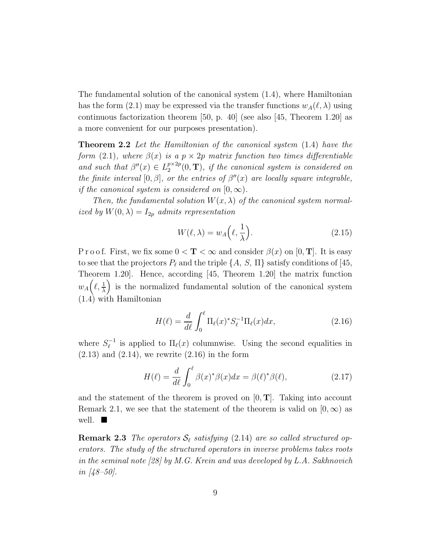The fundamental solution of the canonical system (1.4), where Hamiltonian has the form (2.1) may be expressed via the transfer functions  $w_A(\ell, \lambda)$  using continuous factorization theorem [50, p. 40] (see also [45, Theorem 1.20] as a more convenient for our purposes presentation).

**Theorem 2.2** Let the Hamiltonian of the canonical system (1.4) have the form (2.1), where  $\beta(x)$  is a  $p \times 2p$  matrix function two times differentiable and such that  $\beta''(x) \in L_2^{p \times 2p}$  $e^{p \times 2p}(0, T)$ , if the canonical system is considered on the finite interval  $[0, \beta]$ , or the entries of  $\beta''(x)$  are locally square integrable, if the canonical system is considered on  $[0, \infty)$ .

Then, the fundamental solution  $W(x, \lambda)$  of the canonical system normalized by  $W(0, \lambda) = I_{2p}$  admits representation

$$
W(\ell, \lambda) = w_A \left(\ell, \frac{1}{\lambda}\right). \tag{2.15}
$$

P r o o f. First, we fix some  $0 < T < \infty$  and consider  $\beta(x)$  on [0, T]. It is easy to see that the projectors  $P_\ell$  and the triple  $\{A, S, \Pi\}$  satisfy conditions of [45, Theorem 1.20]. Hence, according [45, Theorem 1.20] the matrix function  $w_A\Big(\ell, \frac{1}{\lambda}\Big)$  is the normalized fundamental solution of the canonical system (1.4) with Hamiltonian

$$
H(\ell) = \frac{d}{d\ell} \int_0^{\ell} \Pi_{\ell}(x)^* S_{\ell}^{-1} \Pi_{\ell}(x) dx, \qquad (2.16)
$$

where  $S_{\ell}^{-1}$  $\ell_{\ell}^{-1}$  is applied to  $\Pi_{\ell}(x)$  columnwise. Using the second equalities in  $(2.13)$  and  $(2.14)$ , we rewrite  $(2.16)$  in the form

$$
H(\ell) = \frac{d}{d\ell} \int_0^{\ell} \beta(x)^* \beta(x) dx = \beta(\ell)^* \beta(\ell), \qquad (2.17)
$$

and the statement of the theorem is proved on  $[0, T]$ . Taking into account Remark 2.1, we see that the statement of the theorem is valid on  $[0, \infty)$  as well.  $\blacksquare$ 

**Remark 2.3** The operators  $S_{\ell}$  satisfying (2.14) are so called structured operators. The study of the structured operators in inverse problems takes roots in the seminal note [28] by M.G. Krein and was developed by L.A. Sakhnovich in  $[48-50]$ .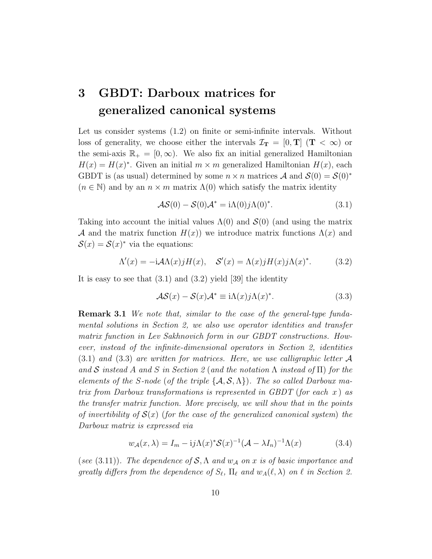### 3 GBDT: Darboux matrices for generalized canonical systems

Let us consider systems  $(1.2)$  on finite or semi-infinite intervals. Without loss of generality, we choose either the intervals  $\mathcal{I}_{T} = [0, T]$  ( $T < \infty$ ) or the semi-axis  $\mathbb{R}_+ = [0, \infty)$ . We also fix an initial generalized Hamiltonian  $H(x) = H(x)^*$ . Given an initial  $m \times m$  generalized Hamiltonian  $H(x)$ , each GBDT is (as usual) determined by some  $n \times n$  matrices A and  $\mathcal{S}(0) = \mathcal{S}(0)^*$  $(n \in \mathbb{N})$  and by an  $n \times m$  matrix  $\Lambda(0)$  which satisfy the matrix identity

$$
\mathcal{AS}(0) - \mathcal{S}(0)\mathcal{A}^* = i\Lambda(0)j\Lambda(0)^*.
$$
 (3.1)

Taking into account the initial values  $\Lambda(0)$  and  $\mathcal{S}(0)$  (and using the matrix A and the matrix function  $H(x)$ ) we introduce matrix functions  $\Lambda(x)$  and  $\mathcal{S}(x) = \mathcal{S}(x)^*$  via the equations:

$$
\Lambda'(x) = -\mathrm{i}\mathcal{A}\Lambda(x)jH(x), \quad \mathcal{S}'(x) = \Lambda(x)jH(x)j\Lambda(x)^*.
$$
 (3.2)

It is easy to see that  $(3.1)$  and  $(3.2)$  yield [39] the identity

$$
\mathcal{AS}(x) - \mathcal{S}(x)\mathcal{A}^* \equiv i\Lambda(x)j\Lambda(x)^*.
$$
 (3.3)

Remark 3.1 We note that, similar to the case of the general-type fundamental solutions in Section 2, we also use operator identities and transfer matrix function in Lev Sakhnovich form in our GBDT constructions. However, instead of the infinite-dimensional operators in Section 2, identities  $(3.1)$  and  $(3.3)$  are written for matrices. Here, we use calligraphic letter A and S instead A and S in Section 2 (and the notation  $\Lambda$  instead of  $\Pi$ ) for the elements of the S-node (of the triple  $\{A, S, \Lambda\}$ ). The so called Darboux matrix from Darboux transformations is represented in GBDT (for each  $x$ ) as the transfer matrix function. More precisely, we will show that in the points of invertibility of  $\mathcal{S}(x)$  (for the case of the generalized canonical system) the Darboux matrix is expressed via

$$
w_{\mathcal{A}}(x,\lambda) = I_m - i j \Lambda(x)^* \mathcal{S}(x)^{-1} (\mathcal{A} - \lambda I_n)^{-1} \Lambda(x)
$$
(3.4)

(see (3.11)). The dependence of  $S$ ,  $\Lambda$  and  $w_A$  on x is of basic importance and greatly differs from the dependence of  $S_{\ell}$ ,  $\Pi_{\ell}$  and  $w_A(\ell, \lambda)$  on  $\ell$  in Section 2.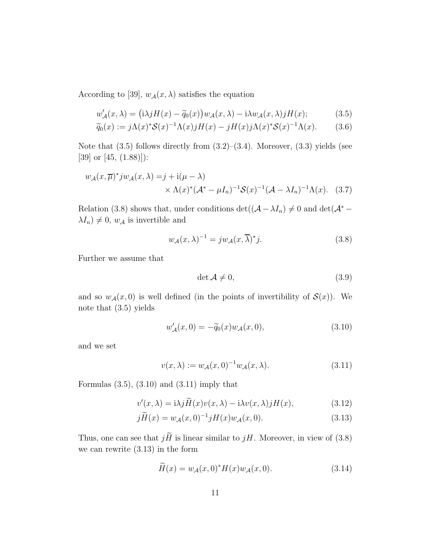According to [39],  $w_{\mathcal{A}}(x, \lambda)$  satisfies the equation

$$
w'_{\mathcal{A}}(x,\lambda) = (i\lambda j H(x) - \widetilde{q}_0(x))w_{\mathcal{A}}(x,\lambda) - i\lambda w_{\mathcal{A}}(x,\lambda)jH(x); \tag{3.5}
$$

$$
\widetilde{q}_0(x) := j\Lambda(x)^* \mathcal{S}(x)^{-1} \Lambda(x) jH(x) - jH(x) j\Lambda(x)^* \mathcal{S}(x)^{-1} \Lambda(x). \tag{3.6}
$$

Note that  $(3.5)$  follows directly from  $(3.2)$ – $(3.4)$ . Moreover,  $(3.3)$  yields (see [39] or [45, (1.88)]):

$$
w_{\mathcal{A}}(x,\overline{\mu})^* j w_{\mathcal{A}}(x,\lambda) = j + \mathrm{i}(\mu - \lambda)
$$
  
 
$$
\times \Lambda(x)^* (\mathcal{A}^* - \mu I_n)^{-1} \mathcal{S}(x)^{-1} (\mathcal{A} - \lambda I_n)^{-1} \Lambda(x). \quad (3.7)
$$

Relation (3.8) shows that, under conditions det( $(A - \lambda I_n) \neq 0$  and det( $\mathcal{A}^*$  –  $\lambda I_n$   $\neq$  0,  $w_A$  is invertible and

$$
w_{\mathcal{A}}(x,\lambda)^{-1} = jw_{\mathcal{A}}(x,\overline{\lambda})^*j.
$$
 (3.8)

Further we assume that

$$
\det \mathcal{A} \neq 0,\tag{3.9}
$$

and so  $w_{\mathcal{A}}(x,0)$  is well defined (in the points of invertibility of  $\mathcal{S}(x)$ ). We note that (3.5) yields

$$
w'_{\mathcal{A}}(x,0) = -\tilde{q}_0(x)w_{\mathcal{A}}(x,0),\tag{3.10}
$$

and we set

$$
v(x,\lambda) := w_{\mathcal{A}}(x,0)^{-1}w_{\mathcal{A}}(x,\lambda).
$$
\n(3.11)

Formulas  $(3.5)$ ,  $(3.10)$  and  $(3.11)$  imply that

$$
v'(x,\lambda) = i\lambda j \widetilde{H}(x)v(x,\lambda) - i\lambda v(x,\lambda)jH(x), \qquad (3.12)
$$

$$
j\widetilde{H}(x) = w_{\mathcal{A}}(x,0)^{-1}jH(x)w_{\mathcal{A}}(x,0).
$$
\n(3.13)

Thus, one can see that  $j\widetilde H$  is linear similar to  $jH.$  Moreover, in view of (3.8) we can rewrite (3.13) in the form

$$
\widetilde{H}(x) = w_{\mathcal{A}}(x,0)^* H(x) w_{\mathcal{A}}(x,0).
$$
\n(3.14)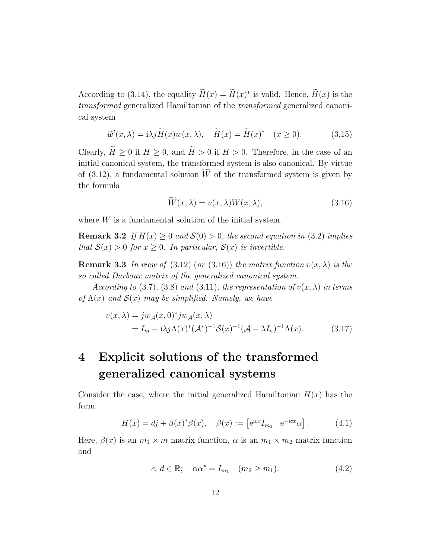According to (3.14), the equality  $H(x) = H(x)^*$  is valid. Hence,  $H(x)$  is the transformed generalized Hamiltonian of the transformed generalized canonical system

$$
\widetilde{w}'(x,\lambda) = i\lambda j \widetilde{H}(x) w(x,\lambda), \quad \widetilde{H}(x) = \widetilde{H}(x)^* \quad (x \ge 0). \tag{3.15}
$$

Clearly,  $\widetilde{H} \ge 0$  if  $H \ge 0$ , and  $\widetilde{H} > 0$  if  $H > 0$ . Therefore, in the case of an initial canonical system, the transformed system is also canonical. By virtue of  $(3.12)$ , a fundamental solution W of the transformed system is given by the formula

$$
\widetilde{W}(x,\lambda) = v(x,\lambda)W(x,\lambda),\tag{3.16}
$$

where  $W$  is a fundamental solution of the initial system.

**Remark 3.2** If  $H(x) \geq 0$  and  $\mathcal{S}(0) > 0$ , the second equation in (3.2) implies that  $S(x) > 0$  for  $x \geq 0$ . In particular,  $S(x)$  is invertible.

**Remark 3.3** In view of (3.12) (or (3.16)) the matrix function  $v(x, \lambda)$  is the so called Darboux matrix of the generalized canonical system.

According to (3.7), (3.8) and (3.11), the representation of  $v(x, \lambda)$  in terms of  $\Lambda(x)$  and  $\mathcal{S}(x)$  may be simplified. Namely, we have

$$
v(x,\lambda) = jw_{\mathcal{A}}(x,0)^* jw_{\mathcal{A}}(x,\lambda)
$$
  
=  $I_m - i\lambda j\Lambda(x)^* (\mathcal{A}^*)^{-1} \mathcal{S}(x)^{-1} (\mathcal{A} - \lambda I_n)^{-1} \Lambda(x).$  (3.17)

### 4 Explicit solutions of the transformed generalized canonical systems

Consider the case, where the initial generalized Hamiltonian  $H(x)$  has the form

$$
H(x) = dj + \beta(x)^{*}\beta(x), \quad \beta(x) := \left[e^{\mathrm{i}cx}I_{m_{1}} \quad e^{-\mathrm{i}cx}\alpha\right].
$$
 (4.1)

Here,  $\beta(x)$  is an  $m_1 \times m$  matrix function,  $\alpha$  is an  $m_1 \times m_2$  matrix function and

$$
c, d \in \mathbb{R}; \quad \alpha \alpha^* = I_{m_1} \quad (m_2 \ge m_1). \tag{4.2}
$$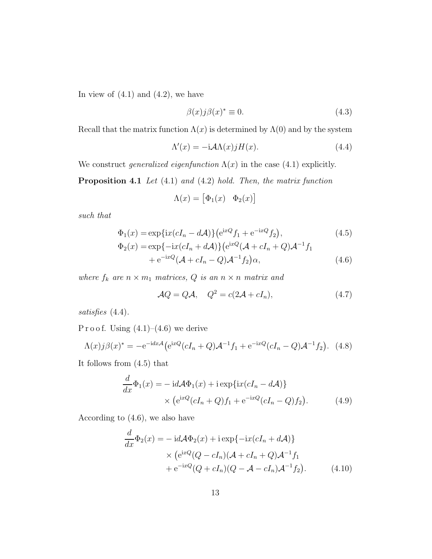In view of  $(4.1)$  and  $(4.2)$ , we have

$$
\beta(x)j\beta(x)^* \equiv 0. \tag{4.3}
$$

Recall that the matrix function  $\Lambda(x)$  is determined by  $\Lambda(0)$  and by the system

$$
\Lambda'(x) = -\mathrm{i} \mathcal{A}\Lambda(x) j H(x). \tag{4.4}
$$

We construct generalized eigenfunction  $\Lambda(x)$  in the case (4.1) explicitly.

Proposition 4.1 Let (4.1) and (4.2) hold. Then, the matrix function

$$
\Lambda(x) = \begin{bmatrix} \Phi_1(x) & \Phi_2(x) \end{bmatrix}
$$

such that

$$
\Phi_1(x) = \exp\{ix(cI_n - d\mathcal{A})\} \left(e^{ixQ}f_1 + e^{-ixQ}f_2\right),\tag{4.5}
$$

$$
\Phi_2(x) = \exp\{-ix(cI_n + d\mathcal{A})\} (e^{ixQ}(\mathcal{A} + cI_n + Q)\mathcal{A}^{-1}f_1 + e^{-ixQ}(\mathcal{A} + cI_n - Q)\mathcal{A}^{-1}f_2)\alpha,
$$
\n(4.6)

where  $f_k$  are  $n \times m_1$  matrices,  $Q$  is an  $n \times n$  matrix and

$$
\mathcal{A}Q = Q\mathcal{A}, \quad Q^2 = c(2\mathcal{A} + cI_n), \tag{4.7}
$$

satisfies  $(4.4)$ .

P r o o f. Using  $(4.1)$ – $(4.6)$  we derive

$$
\Lambda(x)j\beta(x)^{*} = -e^{-idx\mathcal{A}}(e^{ixQ}(cI_n+Q)\mathcal{A}^{-1}f_1 + e^{-ixQ}(cI_n-Q)\mathcal{A}^{-1}f_2).
$$
 (4.8)

It follows from (4.5) that

$$
\frac{d}{dx}\Phi_1(x) = -id\mathcal{A}\Phi_1(x) + i \exp\{ix(cI_n - d\mathcal{A})\}
$$

$$
\times (e^{ixQ}(cI_n + Q)f_1 + e^{-ixQ}(cI_n - Q)f_2).
$$
(4.9)

According to (4.6), we also have

$$
\frac{d}{dx}\Phi_2(x) = -id\mathcal{A}\Phi_2(x) + i \exp\{-ix(cI_n + d\mathcal{A})\}\n\times (e^{ixQ}(Q - cI_n)(\mathcal{A} + cI_n + Q)\mathcal{A}^{-1}f_1 + e^{-ixQ}(Q + cI_n)(Q - \mathcal{A} - cI_n)\mathcal{A}^{-1}f_2).
$$
\n(4.10)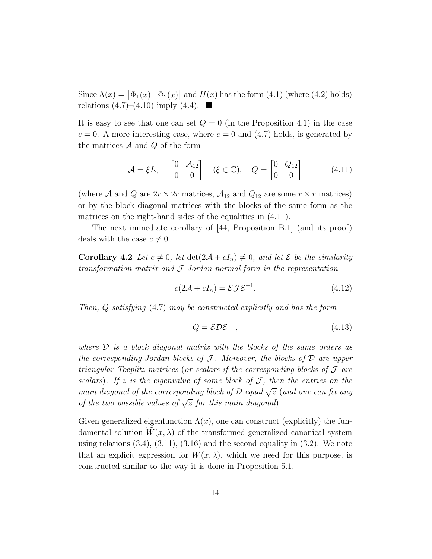Since  $\Lambda(x) = [\Phi_1(x) \quad \Phi_2(x)]$  and  $H(x)$  has the form (4.1) (where (4.2) holds) relations  $(4.7)$ – $(4.10)$  imply  $(4.4)$ .

It is easy to see that one can set  $Q = 0$  (in the Proposition 4.1) in the case  $c = 0$ . A more interesting case, where  $c = 0$  and (4.7) holds, is generated by the matrices  $A$  and  $Q$  of the form

$$
\mathcal{A} = \xi I_{2r} + \begin{bmatrix} 0 & \mathcal{A}_{12} \\ 0 & 0 \end{bmatrix} \quad (\xi \in \mathbb{C}), \quad Q = \begin{bmatrix} 0 & Q_{12} \\ 0 & 0 \end{bmatrix} \tag{4.11}
$$

(where A and Q are  $2r \times 2r$  matrices,  $\mathcal{A}_{12}$  and  $Q_{12}$  are some  $r \times r$  matrices) or by the block diagonal matrices with the blocks of the same form as the matrices on the right-hand sides of the equalities in  $(4.11)$ .

The next immediate corollary of [44, Proposition B.1] (and its proof) deals with the case  $c \neq 0$ .

**Corollary 4.2** Let  $c \neq 0$ , let  $\det(2\mathcal{A} + cI_n) \neq 0$ , and let  $\mathcal{E}$  be the similarity transformation matrix and  $J$  Jordan normal form in the representation

$$
c(2\mathcal{A} + cI_n) = \mathcal{E}\mathcal{J}\mathcal{E}^{-1}.
$$
\n(4.12)

Then, Q satisfying (4.7) may be constructed explicitly and has the form

$$
Q = \mathcal{E} \mathcal{D} \mathcal{E}^{-1},\tag{4.13}
$$

where  $\mathcal D$  is a block diagonal matrix with the blocks of the same orders as the corresponding Jordan blocks of  $J$ . Moreover, the blocks of  $D$  are upper triangular Toeplitz matrices (or scalars if the corresponding blocks of  $\mathcal J$  are scalars). If z is the eigenvalue of some block of  $J$ , then the entries on the main diagonal of the corresponding block of  $\mathcal D$  equal  $\sqrt{z}$  (and one can fix any of the two possible values of  $\sqrt{z}$  for this main diagonal).

Given generalized eigenfunction  $\Lambda(x)$ , one can construct (explicitly) the fundamental solution  $W(x, \lambda)$  of the transformed generalized canonical system using relations  $(3.4)$ ,  $(3.11)$ ,  $(3.16)$  and the second equality in  $(3.2)$ . We note that an explicit expression for  $W(x, \lambda)$ , which we need for this purpose, is constructed similar to the way it is done in Proposition 5.1.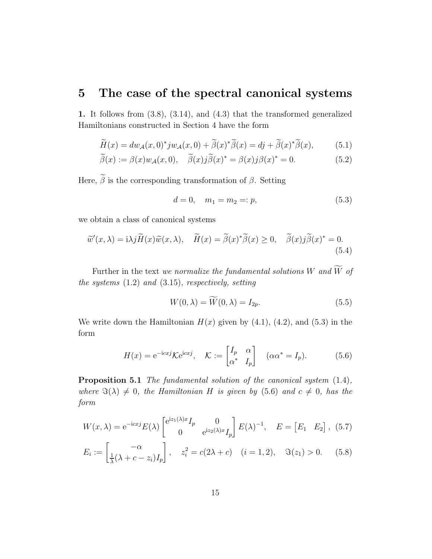### 5 The case of the spectral canonical systems

1. It follows from (3.8), (3.14), and (4.3) that the transformed generalized Hamiltonians constructed in Section 4 have the form

$$
\widetilde{H}(x) = dw_{\mathcal{A}}(x,0)^* j w_{\mathcal{A}}(x,0) + \widetilde{\beta}(x)^* \widetilde{\beta}(x) = dj + \widetilde{\beta}(x)^* \widetilde{\beta}(x),\tag{5.1}
$$

$$
\widetilde{\beta}(x) := \beta(x)w_{\mathcal{A}}(x,0), \quad \widetilde{\beta}(x)j\widetilde{\beta}(x)^{*} = \beta(x)j\beta(x)^{*} = 0.
$$
\n(5.2)

Here,  $\widetilde{\beta}$  is the corresponding transformation of  $\beta.$  Setting

$$
d = 0, \quad m_1 = m_2 =: p,\tag{5.3}
$$

we obtain a class of canonical systems

$$
\widetilde{w}'(x,\lambda) = i\lambda j \widetilde{H}(x)\widetilde{w}(x,\lambda), \quad \widetilde{H}(x) = \widetilde{\beta}(x)^{*}\widetilde{\beta}(x) \ge 0, \quad \widetilde{\beta}(x)j\widetilde{\beta}(x)^{*} = 0.
$$
\n(5.4)

Further in the text *we normalize the fundamental solutions W* and  $\widetilde{W}$  of the systems (1.2) and (3.15), respectively, setting

$$
W(0,\lambda) = \widetilde{W}(0,\lambda) = I_{2p}.
$$
\n(5.5)

We write down the Hamiltonian  $H(x)$  given by (4.1), (4.2), and (5.3) in the form

$$
H(x) = e^{-icxj} \mathcal{K}e^{icxj}, \quad \mathcal{K} := \begin{bmatrix} I_p & \alpha \\ \alpha^* & I_p \end{bmatrix} \quad (\alpha \alpha^* = I_p). \tag{5.6}
$$

Proposition 5.1 The fundamental solution of the canonical system  $(1.4)$ , where  $\Im(\lambda) \neq 0$ , the Hamiltonian H is given by (5.6) and  $c \neq 0$ , has the form

$$
W(x,\lambda) = e^{-icx} E(\lambda) \begin{bmatrix} e^{iz_1(\lambda)x} I_p & 0\\ 0 & e^{iz_2(\lambda)x} I_p \end{bmatrix} E(\lambda)^{-1}, \quad E = \begin{bmatrix} E_1 & E_2 \end{bmatrix}, (5.7)
$$

$$
E_i := \begin{bmatrix} -\alpha\\ \frac{1}{\lambda}(\lambda + c - z_i)I_p \end{bmatrix}, \quad z_i^2 = c(2\lambda + c) \quad (i = 1, 2), \quad \Im(z_1) > 0. \tag{5.8}
$$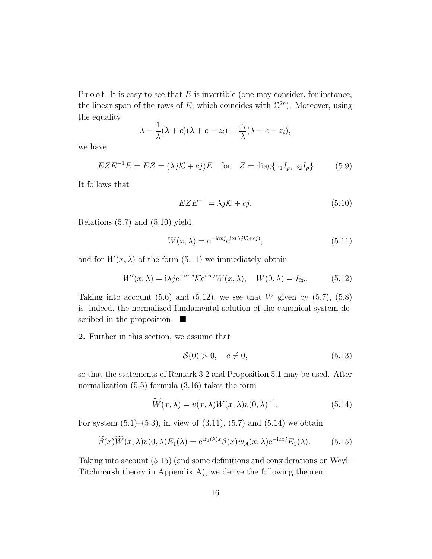P r o o f. It is easy to see that  $E$  is invertible (one may consider, for instance, the linear span of the rows of E, which coincides with  $\mathbb{C}^{2p}$ ). Moreover, using the equality

$$
\lambda - \frac{1}{\lambda}(\lambda + c)(\lambda + c - z_i) = \frac{z_i}{\lambda}(\lambda + c - z_i),
$$

we have

$$
EZE^{-1}E = EZ = (\lambda jK + cj)E \quad \text{for} \quad Z = \text{diag}\{z_1I_p, z_2I_p\}.
$$
 (5.9)

It follows that

$$
EZE^{-1} = \lambda jK + cj.
$$
 (5.10)

Relations (5.7) and (5.10) yield

$$
W(x,\lambda) = e^{-icx^j}e^{ix(\lambda j\mathcal{K} + cj)},\tag{5.11}
$$

and for  $W(x, \lambda)$  of the form (5.11) we immediately obtain

$$
W'(x,\lambda) = i\lambda j e^{-icxj} \mathcal{K}e^{icxj} W(x,\lambda), \quad W(0,\lambda) = I_{2p}.
$$
 (5.12)

Taking into account  $(5.6)$  and  $(5.12)$ , we see that W given by  $(5.7)$ ,  $(5.8)$ is, indeed, the normalized fundamental solution of the canonical system described in the proposition.  $\blacksquare$ 

2. Further in this section, we assume that

$$
\mathcal{S}(0) > 0, \quad c \neq 0,\tag{5.13}
$$

so that the statements of Remark 3.2 and Proposition 5.1 may be used. After normalization (5.5) formula (3.16) takes the form

$$
\widetilde{W}(x,\lambda) = v(x,\lambda)W(x,\lambda)v(0,\lambda)^{-1}.
$$
\n(5.14)

For system  $(5.1)$ – $(5.3)$ , in view of  $(3.11)$ ,  $(5.7)$  and  $(5.14)$  we obtain

$$
\widetilde{\beta}(x)\widetilde{W}(x,\lambda)v(0,\lambda)E_1(\lambda) = e^{iz_1(\lambda)x}\beta(x)w_{\mathcal{A}}(x,\lambda)e^{-icx}E_1(\lambda).
$$
 (5.15)

Taking into account (5.15) (and some definitions and considerations on Weyl– Titchmarsh theory in Appendix A), we derive the following theorem.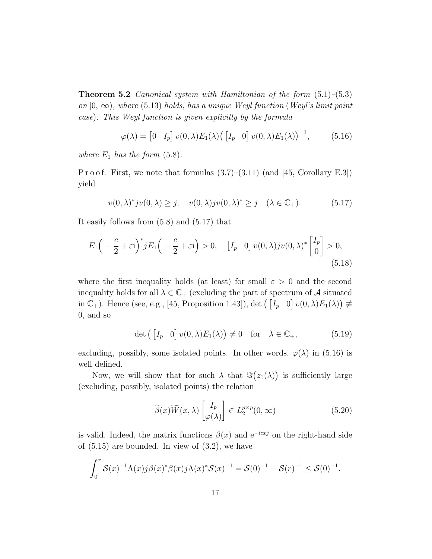**Theorem 5.2** Canonical system with Hamiltonian of the form  $(5.1)$ – $(5.3)$ on  $[0, \infty)$ , where (5.13) holds, has a unique Weyl function (Weyl's limit point case). This Weyl function is given explicitly by the formula

$$
\varphi(\lambda) = \begin{bmatrix} 0 & I_p \end{bmatrix} v(0, \lambda) E_1(\lambda) \left( \begin{bmatrix} I_p & 0 \end{bmatrix} v(0, \lambda) E_1(\lambda) \right)^{-1}, \quad (5.16)
$$

where  $E_1$  has the form  $(5.8)$ .

P r o o f. First, we note that formulas  $(3.7)$ – $(3.11)$  (and [45, Corollary E.3]) yield

$$
v(0,\lambda)^* jv(0,\lambda) \ge j, \quad v(0,\lambda) jv(0,\lambda)^* \ge j \quad (\lambda \in \mathbb{C}_+). \tag{5.17}
$$

It easily follows from (5.8) and (5.17) that

$$
E_1\left(-\frac{c}{2}+\varepsilon\mathrm{i}\right)^*jE_1\left(-\frac{c}{2}+\varepsilon\mathrm{i}\right) > 0, \quad \left[I_p \quad 0\right]v(0,\lambda)jv(0,\lambda)^*\left[\begin{matrix}I_p\\0\end{matrix}\right] > 0,\tag{5.18}
$$

where the first inequality holds (at least) for small  $\varepsilon > 0$  and the second inequality holds for all  $\lambda \in \mathbb{C}_+$  (excluding the part of spectrum of A situated in  $\mathbb{C}_+$ ). Hence (see, e.g., [45, Proposition 1.43]), det  $($ [ $I_p$  0]  $v(0, \lambda)E_1(\lambda)$   $\neq$ 0, and so

$$
\det\left(\begin{bmatrix}I_p & 0\end{bmatrix}v(0,\lambda)E_1(\lambda)\right) \neq 0 \quad \text{for} \quad \lambda \in \mathbb{C}_+, \tag{5.19}
$$

excluding, possibly, some isolated points. In other words,  $\varphi(\lambda)$  in (5.16) is well defined.

Now, we will show that for such  $\lambda$  that  $\Im(z_1(\lambda))$  is sufficiently large (excluding, possibly, isolated points) the relation

$$
\widetilde{\beta}(x)\widetilde{W}(x,\lambda)\begin{bmatrix}I_p\\ \varphi(\lambda)\end{bmatrix} \in L_2^{p \times p}(0,\infty)
$$
\n(5.20)

is valid. Indeed, the matrix functions  $\beta(x)$  and  $e^{-icx}$  on the right-hand side of  $(5.15)$  are bounded. In view of  $(3.2)$ , we have

$$
\int_0^r \mathcal{S}(x)^{-1} \Lambda(x) j \beta(x)^* \beta(x) j \Lambda(x)^* \mathcal{S}(x)^{-1} = \mathcal{S}(0)^{-1} - \mathcal{S}(r)^{-1} \leq \mathcal{S}(0)^{-1}.
$$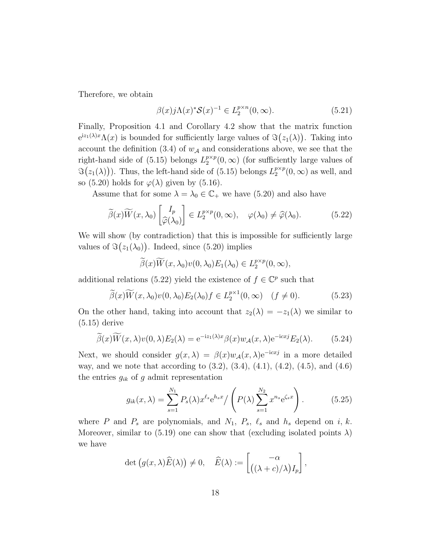Therefore, we obtain

$$
\beta(x)j\Lambda(x)^{*}\mathcal{S}(x)^{-1} \in L_{2}^{p \times n}(0,\infty). \tag{5.21}
$$

Finally, Proposition 4.1 and Corollary 4.2 show that the matrix function  $e^{iz_1(\lambda)x}\Lambda(x)$  is bounded for sufficiently large values of  $\Im(z_1(\lambda))$ . Taking into account the definition (3.4) of  $w_{\mathcal{A}}$  and considerations above, we see that the right-hand side of (5.15) belongs  $L_2^{p \times p}$  $2^{p \times p}(0, \infty)$  (for sufficiently large values of  $\Im(z_1(\lambda))$ . Thus, the left-hand side of (5.15) belongs  $L_2^{p \times p}$  $_2^{p\times p}(0,\infty)$  as well, and so (5.20) holds for  $\varphi(\lambda)$  given by (5.16).

Assume that for some  $\lambda = \lambda_0 \in \mathbb{C}_+$  we have (5.20) and also have

$$
\widetilde{\beta}(x)\widetilde{W}(x,\lambda_0)\begin{bmatrix}I_p\\ \widehat{\varphi}(\lambda_0)\end{bmatrix} \in L_2^{p \times p}(0,\infty), \quad \varphi(\lambda_0) \neq \widehat{\varphi}(\lambda_0). \tag{5.22}
$$

We will show (by contradiction) that this is impossible for sufficiently large values of  $\Im(z_1(\lambda_0))$ . Indeed, since (5.20) implies

$$
\widetilde{\beta}(x)\widetilde{W}(x,\lambda_0)v(0,\lambda_0)E_1(\lambda_0)\in L_2^{p\times p}(0,\infty),
$$

additional relations (5.22) yield the existence of  $f \in \mathbb{C}^p$  such that

$$
\widetilde{\beta}(x)\widetilde{W}(x,\lambda_0)v(0,\lambda_0)E_2(\lambda_0)f \in L_2^{p\times 1}(0,\infty) \quad (f \neq 0). \tag{5.23}
$$

On the other hand, taking into account that  $z_2(\lambda) = -z_1(\lambda)$  we similar to (5.15) derive

$$
\widetilde{\beta}(x)\widetilde{W}(x,\lambda)v(0,\lambda)E_2(\lambda) = e^{-iz_1(\lambda)x}\beta(x)w_{\mathcal{A}}(x,\lambda)e^{-icx}E_2(\lambda).
$$
 (5.24)

Next, we should consider  $g(x, \lambda) = \beta(x)w_{\mathcal{A}}(x, \lambda)e^{-icx^2}$  in a more detailed way, and we note that according to  $(3.2)$ ,  $(3.4)$ ,  $(4.1)$ ,  $(4.2)$ ,  $(4.5)$ , and  $(4.6)$ the entries  $g_{ik}$  of g admit representation

$$
g_{ik}(x,\lambda) = \sum_{s=1}^{N_1} P_s(\lambda) x^{\ell_s} e^{h_s x} / \left( P(\lambda) \sum_{s=1}^{N_2} x^{n_s} e^{\zeta_s x} \right).
$$
 (5.25)

where P and  $P_s$  are polynomials, and  $N_1$ ,  $P_s$ ,  $\ell_s$  and  $h_s$  depend on i, k. Moreover, similar to (5.19) one can show that (excluding isolated points  $\lambda$ ) we have

$$
\det (g(x,\lambda)\widehat{E}(\lambda)) \neq 0, \quad \widehat{E}(\lambda) := \begin{bmatrix} -\alpha \\ ((\lambda + c)/\lambda)I_p \end{bmatrix},
$$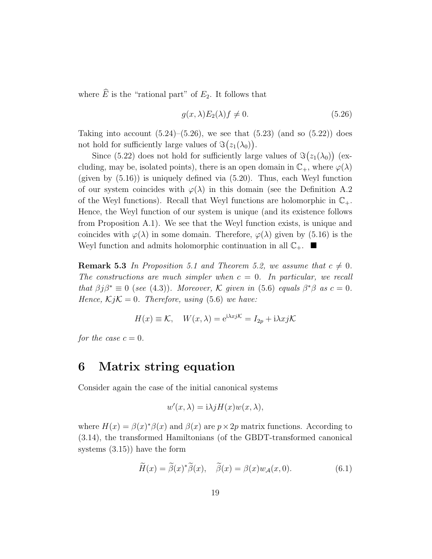where  $\widehat{E}$  is the "rational part" of  $E_2$ . It follows that

$$
g(x,\lambda)E_2(\lambda)f \neq 0. \tag{5.26}
$$

Taking into account  $(5.24)$ – $(5.26)$ , we see that  $(5.23)$  (and so  $(5.22)$ ) does not hold for sufficiently large values of  $\Im(z_1(\lambda_0))$ .

Since (5.22) does not hold for sufficiently large values of  $\Im(z_1(\lambda_0))$  (excluding, may be, isolated points), there is an open domain in  $\mathbb{C}_+$ , where  $\varphi(\lambda)$ (given by  $(5.16)$ ) is uniquely defined via  $(5.20)$ . Thus, each Weyl function of our system coincides with  $\varphi(\lambda)$  in this domain (see the Definition A.2) of the Weyl functions). Recall that Weyl functions are holomorphic in  $\mathbb{C}_+$ . Hence, the Weyl function of our system is unique (and its existence follows from Proposition A.1). We see that the Weyl function exists, is unique and coincides with  $\varphi(\lambda)$  in some domain. Therefore,  $\varphi(\lambda)$  given by (5.16) is the Weyl function and admits holomorphic continuation in all  $\mathbb{C}_+$ .

**Remark 5.3** In Proposition 5.1 and Theorem 5.2, we assume that  $c \neq 0$ . The constructions are much simpler when  $c = 0$ . In particular, we recall that  $\beta j \beta^* \equiv 0$  (see (4.3)). Moreover, K given in (5.6) equals  $\beta^* \beta$  as  $c = 0$ . Hence,  $KjK = 0$ . Therefore, using (5.6) we have:

$$
H(x) \equiv \mathcal{K}, \quad W(x,\lambda) = e^{i\lambda x j \mathcal{K}} = I_{2p} + i\lambda x j \mathcal{K}
$$

for the case  $c = 0$ .

### 6 Matrix string equation

Consider again the case of the initial canonical systems

$$
w'(x,\lambda) = i\lambda j H(x) w(x,\lambda),
$$

where  $H(x) = \beta(x)^{*}\beta(x)$  and  $\beta(x)$  are  $p \times 2p$  matrix functions. According to (3.14), the transformed Hamiltonians (of the GBDT-transformed canonical systems (3.15)) have the form

$$
\widetilde{H}(x) = \widetilde{\beta}(x)^{*}\widetilde{\beta}(x), \quad \widetilde{\beta}(x) = \beta(x)w_{\mathcal{A}}(x,0). \tag{6.1}
$$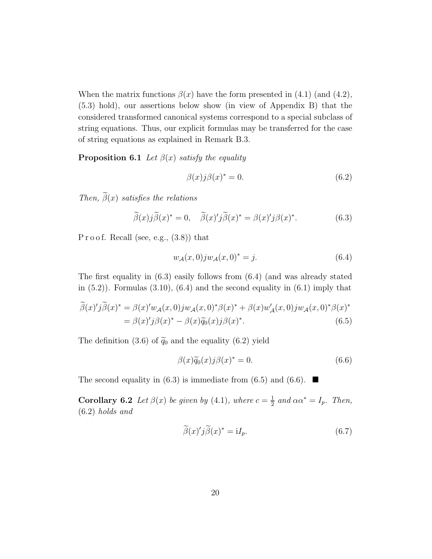When the matrix functions  $\beta(x)$  have the form presented in (4.1) (and (4.2), (5.3) hold), our assertions below show (in view of Appendix B) that the considered transformed canonical systems correspond to a special subclass of string equations. Thus, our explicit formulas may be transferred for the case of string equations as explained in Remark B.3.

**Proposition 6.1** Let  $\beta(x)$  satisfy the equality

$$
\beta(x)j\beta(x)^* = 0.
$$
\n(6.2)

Then,  $\tilde{\beta}(x)$  satisfies the relations

$$
\widetilde{\beta}(x)j\widetilde{\beta}(x)^{*}=0, \quad \widetilde{\beta}(x)jj\widetilde{\beta}(x)^{*}=\beta(x)j\beta(x)^{*}.
$$
\n(6.3)

P r o o f. Recall (see, e.g.,  $(3.8)$ ) that

$$
w_{\mathcal{A}}(x,0)jw_{\mathcal{A}}(x,0)^{*}=j.
$$
\n(6.4)

The first equality in (6.3) easily follows from (6.4) (and was already stated in  $(5.2)$ . Formulas  $(3.10)$ ,  $(6.4)$  and the second equality in  $(6.1)$  imply that

$$
\widetilde{\beta}(x)'\widetilde{j}\widetilde{\beta}(x)^{*} = \beta(x)'w_{\mathcal{A}}(x,0)jw_{\mathcal{A}}(x,0)^{*}\beta(x)^{*} + \beta(x)w'_{\mathcal{A}}(x,0)jw_{\mathcal{A}}(x,0)^{*}\beta(x)^{*}
$$

$$
= \beta(x)'\widetilde{j}\beta(x)^{*} - \beta(x)\widetilde{q}_{0}(x)j\beta(x)^{*}.
$$
(6.5)

The definition (3.6) of  $\tilde{q}_0$  and the equality (6.2) yield

$$
\beta(x)\tilde{q}_0(x)j\beta(x)^* = 0.
$$
\n(6.6)

The second equality in (6.3) is immediate from (6.5) and (6.6).  $\blacksquare$ 

**Corollary 6.2** Let  $\beta(x)$  be given by (4.1), where  $c = \frac{1}{2}$  $rac{1}{2}$  and  $\alpha \alpha^* = I_p$ . Then, (6.2) holds and

$$
\widetilde{\beta}(x)'\widetilde{j}\widetilde{\beta}(x)^{*} = iI_{p}.
$$
\n(6.7)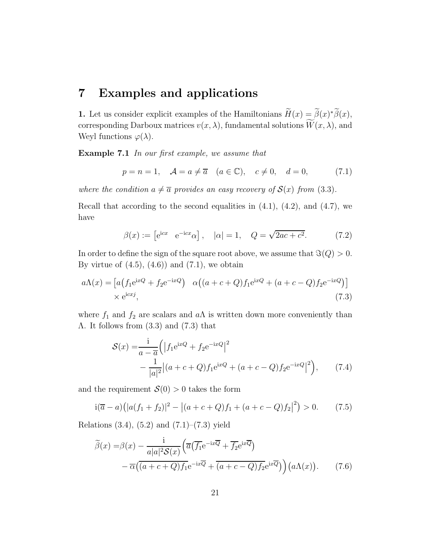#### 7 Examples and applications

**1.** Let us consider explicit examples of the Hamiltonians  $\widetilde{H}(x) = \widetilde{\beta}(x)^*\widetilde{\beta}(x)$ , corresponding Darboux matrices  $v(x, \lambda)$ , fundamental solutions  $\widetilde{W}(x, \lambda)$ , and Weyl functions  $\varphi(\lambda)$ .

Example 7.1 In our first example, we assume that

$$
p = n = 1, \quad A = a \neq \overline{a} \quad (a \in \mathbb{C}), \quad c \neq 0, \quad d = 0,
$$
 (7.1)

where the condition  $a \neq \overline{a}$  provides an easy recovery of  $\mathcal{S}(x)$  from (3.3).

Recall that according to the second equalities in  $(4.1)$ ,  $(4.2)$ , and  $(4.7)$ , we have

$$
\beta(x) := \begin{bmatrix} e^{icx} & e^{-icx}\alpha \end{bmatrix}, \quad |\alpha| = 1, \quad Q = \sqrt{2ac + c^2}.
$$
 (7.2)

In order to define the sign of the square root above, we assume that  $\Im(Q) > 0$ . By virtue of  $(4.5)$ ,  $(4.6)$  and  $(7.1)$ , we obtain

$$
a\Lambda(x) = \left[a\left(f_1 e^{ixQ} + f_2 e^{-ixQ}\right) \quad \alpha\left((a+c+Q)f_1 e^{ixQ} + (a+c-Q)f_2 e^{-ixQ}\right)\right] \times e^{icxj},\tag{7.3}
$$

where  $f_1$  and  $f_2$  are scalars and  $a\Lambda$  is written down more conveniently than Λ. It follows from (3.3) and (7.3) that

$$
S(x) = \frac{1}{a - \overline{a}} \left( \left| f_1 e^{ixQ} + f_2 e^{-ixQ} \right|^2 - \frac{1}{|a|^2} \left| (a + c + Q) f_1 e^{ixQ} + (a + c - Q) f_2 e^{-ixQ} \right|^2 \right), \tag{7.4}
$$

and the requirement  $\mathcal{S}(0) > 0$  takes the form

$$
i(\overline{a}-a)(|a(f_1+f_2)|^2 - |(a+c+Q)f_1 + (a+c-Q)f_2|^2) > 0.
$$
 (7.5)

Relations  $(3.4)$ ,  $(5.2)$  and  $(7.1)$ – $(7.3)$  yield

$$
\widetilde{\beta}(x) = \beta(x) - \frac{1}{a|a|^2 \mathcal{S}(x)} \left( \overline{a} \left( \overline{f_1} e^{-ix\overline{Q}} + \overline{f_2} e^{ix\overline{Q}} \right) - \overline{\alpha} \left( \overline{(a+c+Q)f_1} e^{-ix\overline{Q}} + \overline{(a+c-Q)f_2} e^{ix\overline{Q}} \right) \right) \left( a\Lambda(x) \right). \tag{7.6}
$$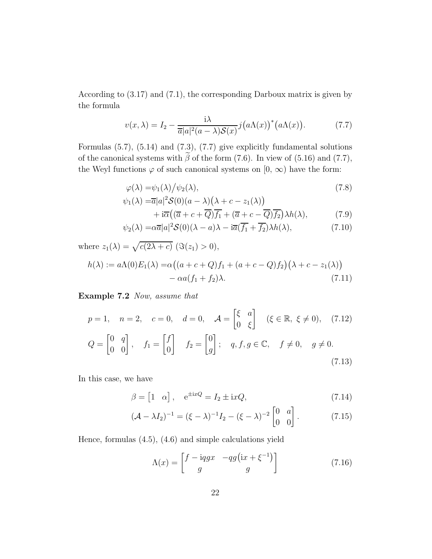According to (3.17) and (7.1), the corresponding Darboux matrix is given by the formula

$$
v(x,\lambda) = I_2 - \frac{\mathrm{i}\lambda}{\overline{a}|a|^2(a-\lambda)\mathcal{S}(x)}j\big(a\Lambda(x)\big)^*\big(a\Lambda(x)\big). \tag{7.7}
$$

Formulas (5.7), (5.14) and (7.3), (7.7) give explicitly fundamental solutions of the canonical systems with  $\tilde{\beta}$  of the form (7.6). In view of (5.16) and (7.7), the Weyl functions  $\varphi$  of such canonical systems on  $[0, \infty)$  have the form:

$$
\varphi(\lambda) = \psi_1(\lambda) / \psi_2(\lambda),\tag{7.8}
$$

$$
\psi_1(\lambda) = \overline{a}|a|^2 \mathcal{S}(0)(a - \lambda)\left(\lambda + c - z_1(\lambda)\right) + \mathrm{i}\overline{\alpha}\left((\overline{a} + c + \overline{Q})\overline{f_1} + (\overline{a} + c - \overline{Q})\overline{f_2}\right)\lambda h(\lambda),\tag{7.9}
$$

$$
\psi_2(\lambda) = \alpha \overline{a}|a|^2 \mathcal{S}(0)(\lambda - a)\lambda - i\overline{a}(\overline{f_1} + \overline{f_2})\lambda h(\lambda), \tag{7.10}
$$

where  $z_1(\lambda) = \sqrt{c(2\lambda + c)}$  ( $\Im(z_1) > 0$ ),

$$
h(\lambda) := a\Lambda(0)E_1(\lambda) = \alpha((a+c+Q)f_1 + (a+c-Q)f_2)(\lambda + c - z_1(\lambda))
$$
  
- 
$$
\alpha a(f_1 + f_2)\lambda.
$$
 (7.11)

Example 7.2 Now, assume that

$$
p = 1, \quad n = 2, \quad c = 0, \quad d = 0, \quad \mathcal{A} = \begin{bmatrix} \xi & a \\ 0 & \xi \end{bmatrix} \quad (\xi \in \mathbb{R}, \ \xi \neq 0), \quad (7.12)
$$

$$
Q = \begin{bmatrix} 0 & q \\ 0 & 0 \end{bmatrix}, \quad f_1 = \begin{bmatrix} f \\ 0 \end{bmatrix} \quad f_2 = \begin{bmatrix} 0 \\ g \end{bmatrix}; \quad q, f, g \in \mathbb{C}, \quad f \neq 0, \quad g \neq 0.
$$
(7.13)

In this case, we have

$$
\beta = \begin{bmatrix} 1 & \alpha \end{bmatrix}, \quad e^{\pm ixQ} = I_2 \pm ixQ,
$$
\n(7.14)

$$
(\mathcal{A} - \lambda I_2)^{-1} = (\xi - \lambda)^{-1} I_2 - (\xi - \lambda)^{-2} \begin{bmatrix} 0 & a \\ 0 & 0 \end{bmatrix}.
$$
 (7.15)

Hence, formulas (4.5), (4.6) and simple calculations yield

$$
\Lambda(x) = \begin{bmatrix} f - i q g x & -q g (i x + \xi^{-1}) \\ g & g \end{bmatrix}
$$
\n(7.16)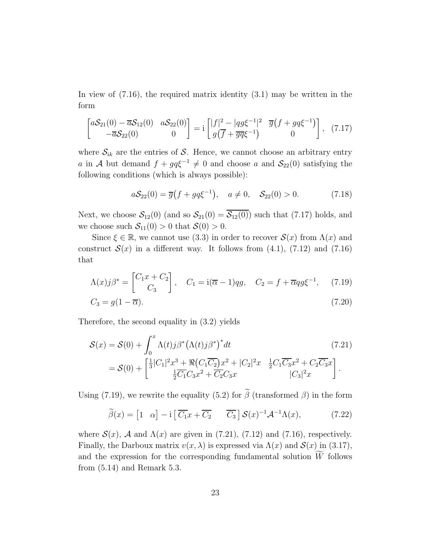In view of (7.16), the required matrix identity (3.1) may be written in the form

$$
\begin{bmatrix} a\mathcal{S}_{21}(0) - \overline{a}\mathcal{S}_{12}(0) & a\mathcal{S}_{22}(0) \\ -\overline{a}\mathcal{S}_{22}(0) & 0 \end{bmatrix} = i \begin{bmatrix} |f|^2 - |qg\xi^{-1}|^2 & \overline{g}(f + gq\xi^{-1}) \\ g(\overline{f} + \overline{g}\overline{q}\xi^{-1}) & 0 \end{bmatrix}, (7.17)
$$

where  $S_{ik}$  are the entries of S. Hence, we cannot choose an arbitrary entry a in A but demand  $f + g q \xi^{-1} \neq 0$  and choose a and  $S_{22}(0)$  satisfying the following conditions (which is always possible):

$$
aS_{22}(0) = \overline{g}(f + g q \xi^{-1}), \quad a \neq 0, \quad S_{22}(0) > 0.
$$
 (7.18)

Next, we choose  $S_{12}(0)$  (and so  $S_{21}(0) = \overline{S_{12}(0)}$ ) such that (7.17) holds, and we choose such  $S_{11}(0) > 0$  that  $S(0) > 0$ .

Since  $\xi \in \mathbb{R}$ , we cannot use (3.3) in order to recover  $\mathcal{S}(x)$  from  $\Lambda(x)$  and construct  $S(x)$  in a different way. It follows from (4.1), (7.12) and (7.16) that

$$
\Lambda(x)j\beta^* = \begin{bmatrix} C_1x + C_2 \\ C_3 \end{bmatrix}, \quad C_1 = \mathrm{i}(\overline{\alpha} - 1)qg, \quad C_2 = f + \overline{\alpha}qg\xi^{-1}, \quad (7.19)
$$

$$
C_3 = g(1 - \overline{\alpha}).\tag{7.20}
$$

Therefore, the second equality in (3.2) yields

$$
\mathcal{S}(x) = \mathcal{S}(0) + \int_0^x \Lambda(t) j \beta^* (\Lambda(t) j \beta^*)^* dt
$$
\n
$$
= \mathcal{S}(0) + \left[ \frac{1}{3} |C_1|^2 x^3 + \Re(C_1 \overline{C_2}) x^2 + |C_2|^2 x \right] \frac{1}{2} C_1 \overline{C_3} x^2 + C_2 \overline{C_3} x \right].
$$
\n
$$
(7.21)
$$
\n
$$
= \mathcal{S}(0) + \left[ \frac{1}{3} |C_1|^2 x^3 + \Re(C_1 \overline{C_2}) x^2 + |C_2|^2 x \right] \frac{1}{2} C_1 \overline{C_3} x^2 + C_2 \overline{C_3} x \right].
$$

Using (7.19), we rewrite the equality (5.2) for  $\tilde{\beta}$  (transformed  $\beta$ ) in the form

$$
\widetilde{\beta}(x) = \begin{bmatrix} 1 & \alpha \end{bmatrix} - i \begin{bmatrix} \overline{C_1} x + \overline{C_2} & \overline{C_3} \end{bmatrix} \mathcal{S}(x)^{-1} \mathcal{A}^{-1} \Lambda(x), \tag{7.22}
$$

where  $S(x)$ , A and  $\Lambda(x)$  are given in (7.21), (7.12) and (7.16), respectively. Finally, the Darboux matrix  $v(x, \lambda)$  is expressed via  $\Lambda(x)$  and  $\mathcal{S}(x)$  in (3.17), and the expression for the corresponding fundamental solution  $W$  follows from (5.14) and Remark 5.3.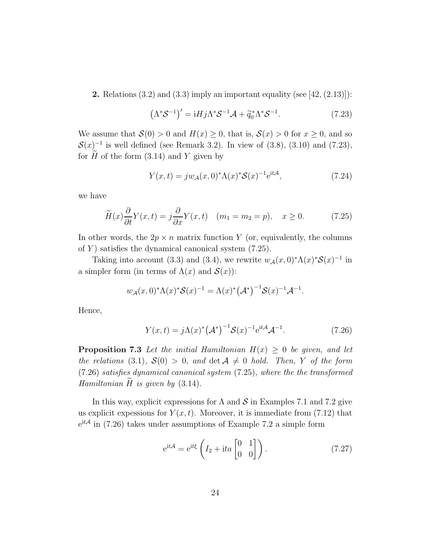**2.** Relations  $(3.2)$  and  $(3.3)$  imply an important equality (see [42,  $(2.13)$ ]):

$$
\left(\Lambda^* \mathcal{S}^{-1}\right)' = iHj\Lambda^* \mathcal{S}^{-1} \mathcal{A} + \tilde{q}_0^* \Lambda^* \mathcal{S}^{-1}.
$$
 (7.23)

We assume that  $\mathcal{S}(0) > 0$  and  $H(x) \geq 0$ , that is,  $\mathcal{S}(x) > 0$  for  $x \geq 0$ , and so  $\mathcal{S}(x)$ <sup>-1</sup> is well defined (see Remark 3.2). In view of (3.8), (3.10) and (7.23), for  $\tilde{H}$  of the form (3.14) and Y given by

$$
Y(x,t) = jw_{\mathcal{A}}(x,0)^{*}\Lambda(x)^{*}\mathcal{S}(x)^{-1}e^{it\mathcal{A}},
$$
\n(7.24)

we have

$$
\widetilde{H}(x)\frac{\partial}{\partial t}Y(x,t) = j\frac{\partial}{\partial x}Y(x,t) \quad (m_1 = m_2 = p), \quad x \ge 0. \tag{7.25}
$$

In other words, the  $2p \times n$  matrix function Y (or, equivalently, the columns of Y) satisfies the dynamical canonical system  $(7.25)$ .

Taking into account (3.3) and (3.4), we rewrite  $w_{\mathcal{A}}(x,0)^{*}\Lambda(x)^{*}\mathcal{S}(x)^{-1}$  in a simpler form (in terms of  $\Lambda(x)$  and  $\mathcal{S}(x)$ ):

$$
w_{\mathcal{A}}(x,0)^{*}\Lambda(x)^{*}\mathcal{S}(x)^{-1} = \Lambda(x)^{*} (\mathcal{A}^{*})^{-1} \mathcal{S}(x)^{-1} \mathcal{A}^{-1}.
$$

Hence,

$$
Y(x,t) = j\Lambda(x)^{*} (\mathcal{A}^{*})^{-1} \mathcal{S}(x)^{-1} e^{it\mathcal{A}} \mathcal{A}^{-1}.
$$
 (7.26)

**Proposition 7.3** Let the initial Hamiltonian  $H(x) \geq 0$  be given, and let the relations (3.1),  $\mathcal{S}(0) > 0$ , and  $\det \mathcal{A} \neq 0$  hold. Then, Y of the form (7.26) satisfies dynamical canonical system (7.25), where the the transformed Hamiltonian  $\tilde{H}$  is given by (3.14).

In this way, explicit expressions for  $\Lambda$  and  $\mathcal S$  in Examples 7.1 and 7.2 give us explicit expessions for  $Y(x,t)$ . Moreover, it is immediate from (7.12) that  $e^{itA}$  in (7.26) takes under assumptions of Example 7.2 a simple form

$$
e^{it\mathcal{A}} = e^{it\xi} \left( I_2 + ita \begin{bmatrix} 0 & 1 \\ 0 & 0 \end{bmatrix} \right).
$$
 (7.27)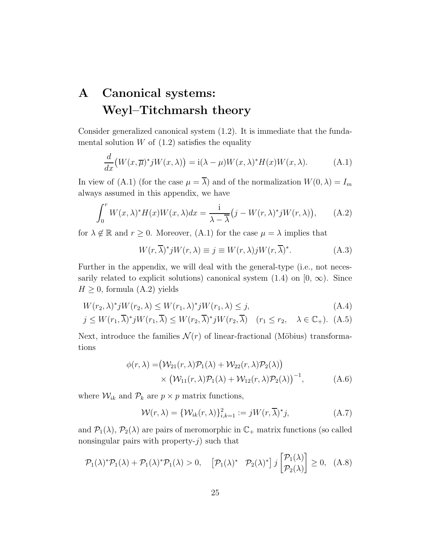## A Canonical systems: Weyl–Titchmarsh theory

Consider generalized canonical system (1.2). It is immediate that the fundamental solution  $W$  of  $(1.2)$  satisfies the equality

$$
\frac{d}{dx}\big(W(x,\overline{\mu})^*jW(x,\lambda)\big) = \mathrm{i}(\lambda - \mu)W(x,\lambda)^*H(x)W(x,\lambda). \tag{A.1}
$$

In view of (A.1) (for the case  $\mu = \overline{\lambda}$ ) and of the normalization  $W(0, \lambda) = I_m$ always assumed in this appendix, we have

$$
\int_0^r W(x,\lambda)^* H(x)W(x,\lambda)dx = \frac{\mathrm{i}}{\lambda - \overline{\lambda}} \big(j - W(r,\lambda)^* j W(r,\lambda)\big),\qquad\text{(A.2)}
$$

for  $\lambda \notin \mathbb{R}$  and  $r \geq 0$ . Moreover,  $(A.1)$  for the case  $\mu = \lambda$  implies that

$$
W(r,\overline{\lambda})^*jW(r,\lambda) \equiv j \equiv W(r,\lambda)jW(r,\overline{\lambda})^*.
$$
 (A.3)

Further in the appendix, we will deal with the general-type (i.e., not necessarily related to explicit solutions) canonical system  $(1.4)$  on  $[0, \infty)$ . Since  $H \geq 0$ , formula (A.2) yields

$$
W(r_2, \lambda)^* j W(r_2, \lambda) \le W(r_1, \lambda)^* j W(r_1, \lambda) \le j,
$$
\n(A.4)

$$
j \le W(r_1, \overline{\lambda})^* j W(r_1, \overline{\lambda}) \le W(r_2, \overline{\lambda})^* j W(r_2, \overline{\lambda}) \quad (r_1 \le r_2, \quad \lambda \in \mathbb{C}_+). \tag{A.5}
$$

Next, introduce the families  $\mathcal{N}(r)$  of linear-fractional (Möbius) transformations

$$
\phi(r,\lambda) = (\mathcal{W}_{21}(r,\lambda)\mathcal{P}_1(\lambda) + \mathcal{W}_{22}(r,\lambda)\mathcal{P}_2(\lambda))
$$
  
 
$$
\times (\mathcal{W}_{11}(r,\lambda)\mathcal{P}_1(\lambda) + \mathcal{W}_{12}(r,\lambda)\mathcal{P}_2(\lambda))^{-1},
$$
 (A.6)

where  $\mathcal{W}_{ik}$  and  $\mathcal{P}_k$  are  $p \times p$  matrix functions,

$$
\mathcal{W}(r,\lambda) = \{\mathcal{W}_{ik}(r,\lambda)\}_{i,k=1}^2 := jW(r,\overline{\lambda})^*j,
$$
\n(A.7)

and  $\mathcal{P}_1(\lambda)$ ,  $\mathcal{P}_2(\lambda)$  are pairs of meromorphic in  $\mathbb{C}_+$  matrix functions (so called nonsingular pairs with property- $j$ ) such that

$$
\mathcal{P}_1(\lambda)^* \mathcal{P}_1(\lambda) + \mathcal{P}_1(\lambda)^* \mathcal{P}_1(\lambda) > 0, \quad \left[ \mathcal{P}_1(\lambda)^* \quad \mathcal{P}_2(\lambda)^* \right] j \begin{bmatrix} \mathcal{P}_1(\lambda) \\ \mathcal{P}_2(\lambda) \end{bmatrix} \ge 0, \quad (A.8)
$$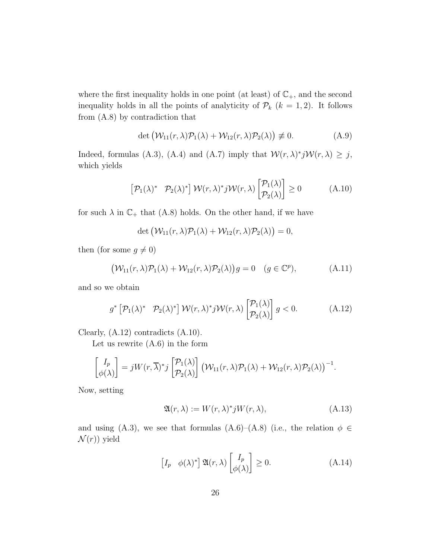where the first inequality holds in one point (at least) of  $\mathbb{C}_+$ , and the second inequality holds in all the points of analyticity of  $\mathcal{P}_k$  ( $k = 1, 2$ ). It follows from (A.8) by contradiction that

$$
\det \left( \mathcal{W}_{11}(r, \lambda) \mathcal{P}_1(\lambda) + \mathcal{W}_{12}(r, \lambda) \mathcal{P}_2(\lambda) \right) \not\equiv 0. \tag{A.9}
$$

Indeed, formulas (A.3), (A.4) and (A.7) imply that  $\mathcal{W}(r,\lambda)^*j\mathcal{W}(r,\lambda) \geq j$ , which yields

$$
\left[\mathcal{P}_1(\lambda)^* \quad \mathcal{P}_2(\lambda)^*\right] \mathcal{W}(r,\lambda)^* j \mathcal{W}(r,\lambda) \left[\begin{matrix} \mathcal{P}_1(\lambda) \\ \mathcal{P}_2(\lambda) \end{matrix}\right] \ge 0 \tag{A.10}
$$

for such  $\lambda$  in  $\mathbb{C}_+$  that (A.8) holds. On the other hand, if we have

$$
\det (\mathcal{W}_{11}(r,\lambda)\mathcal{P}_1(\lambda)+\mathcal{W}_{12}(r,\lambda)\mathcal{P}_2(\lambda))=0,
$$

then (for some  $g \neq 0$ )

$$
(\mathcal{W}_{11}(r,\lambda)\mathcal{P}_1(\lambda) + \mathcal{W}_{12}(r,\lambda)\mathcal{P}_2(\lambda))g = 0 \quad (g \in \mathbb{C}^p), \tag{A.11}
$$

and so we obtain

$$
g^* \left[ \mathcal{P}_1(\lambda)^* \quad \mathcal{P}_2(\lambda)^* \right] \mathcal{W}(r,\lambda)^* j \mathcal{W}(r,\lambda) \left[ \begin{matrix} \mathcal{P}_1(\lambda) \\ \mathcal{P}_2(\lambda) \end{matrix} \right] g < 0. \tag{A.12}
$$

Clearly, (A.12) contradicts (A.10).

Let us rewrite (A.6) in the form

$$
\begin{bmatrix} I_p \\ \phi(\lambda) \end{bmatrix} = jW(r, \overline{\lambda})^* j \begin{bmatrix} \mathcal{P}_1(\lambda) \\ \mathcal{P}_2(\lambda) \end{bmatrix} \left( \mathcal{W}_{11}(r, \lambda) \mathcal{P}_1(\lambda) + \mathcal{W}_{12}(r, \lambda) \mathcal{P}_2(\lambda) \right)^{-1}.
$$

Now, setting

$$
\mathfrak{A}(r,\lambda) := W(r,\lambda)^* j W(r,\lambda),\tag{A.13}
$$

and using (A.3), we see that formulas (A.6)–(A.8) (i.e., the relation  $\phi \in$  $\mathcal{N}(r)$ ) yield

$$
\begin{bmatrix} I_p & \phi(\lambda)^* \end{bmatrix} \mathfrak{A}(r,\lambda) \begin{bmatrix} I_p \\ \phi(\lambda) \end{bmatrix} \ge 0.
$$
 (A.14)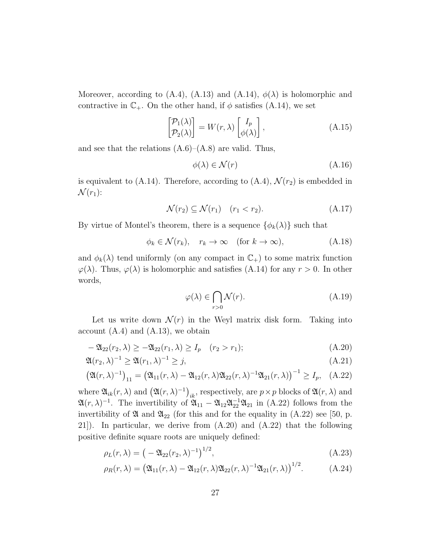Moreover, according to (A.4), (A.13) and (A.14),  $\phi(\lambda)$  is holomorphic and contractive in  $\mathbb{C}_+$ . On the other hand, if  $\phi$  satisfies (A.14), we set

$$
\begin{bmatrix} \mathcal{P}_1(\lambda) \\ \mathcal{P}_2(\lambda) \end{bmatrix} = W(r, \lambda) \begin{bmatrix} I_p \\ \phi(\lambda) \end{bmatrix},
$$
\n(A.15)

and see that the relations  $(A.6)$ – $(A.8)$  are valid. Thus,

$$
\phi(\lambda) \in \mathcal{N}(r) \tag{A.16}
$$

is equivalent to (A.14). Therefore, according to (A.4),  $\mathcal{N}(r_2)$  is embedded in  $\mathcal{N}(r_1)$ :

$$
\mathcal{N}(r_2) \subseteq \mathcal{N}(r_1) \quad (r_1 < r_2). \tag{A.17}
$$

By virtue of Montel's theorem, there is a sequence  $\{\phi_k(\lambda)\}\$  such that

$$
\phi_k \in \mathcal{N}(r_k), \quad r_k \to \infty \quad \text{(for } k \to \infty), \tag{A.18}
$$

and  $\phi_k(\lambda)$  tend uniformly (on any compact in  $\mathbb{C}_+$ ) to some matrix function  $\varphi(\lambda)$ . Thus,  $\varphi(\lambda)$  is holomorphic and satisfies (A.14) for any  $r > 0$ . In other words,

$$
\varphi(\lambda) \in \bigcap_{r>0} \mathcal{N}(r). \tag{A.19}
$$

Let us write down  $\mathcal{N}(r)$  in the Weyl matrix disk form. Taking into account  $(A.4)$  and  $(A.13)$ , we obtain

$$
-\mathfrak{A}_{22}(r_2,\lambda) \ge -\mathfrak{A}_{22}(r_1,\lambda) \ge I_p \quad (r_2 > r_1); \tag{A.20}
$$

$$
\mathfrak{A}(r_2,\lambda)^{-1} \ge \mathfrak{A}(r_1,\lambda)^{-1} \ge j,\tag{A.21}
$$

$$
\left(\mathfrak{A}(r,\lambda)^{-1}\right)_{11} = \left(\mathfrak{A}_{11}(r,\lambda) - \mathfrak{A}_{12}(r,\lambda)\mathfrak{A}_{22}(r,\lambda)^{-1}\mathfrak{A}_{21}(r,\lambda)\right)^{-1} \ge I_p, \quad \text{(A.22)}
$$

where  $\mathfrak{A}_{ik}(r,\lambda)$  and  $(\mathfrak{A}(r,\lambda)^{-1})_{ik}$ , respectively, are  $p \times p$  blocks of  $\mathfrak{A}(r,\lambda)$  and  $\mathfrak{A}(r,\lambda)^{-1}$ . The invertibility of  $\mathfrak{A}_{11} - \mathfrak{A}_{12}\mathfrak{A}_{22}^{-1}\mathfrak{A}_{21}$  in (A.22) follows from the invertibility of  $\mathfrak A$  and  $\mathfrak A_{22}$  (for this and for the equality in (A.22) see [50, p. 21]). In particular, we derive from (A.20) and (A.22) that the following positive definite square roots are uniquely defined:

$$
\rho_L(r,\lambda) = \left(-\mathfrak{A}_{22}(r_2,\lambda)^{-1}\right)^{1/2},\tag{A.23}
$$

$$
\rho_R(r,\lambda) = \left(\mathfrak{A}_{11}(r,\lambda) - \mathfrak{A}_{12}(r,\lambda)\mathfrak{A}_{22}(r,\lambda)^{-1}\mathfrak{A}_{21}(r,\lambda)\right)^{1/2}.
$$
 (A.24)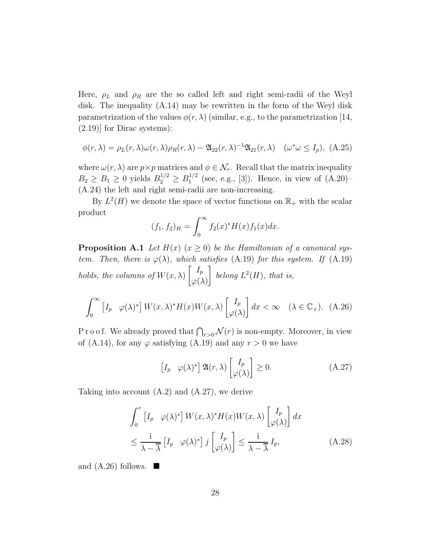Here,  $\rho_L$  and  $\rho_R$  are the so called left and right semi-radii of the Weyl disk. The inequality (A.14) may be rewritten in the form of the Weyl disk parametrization of the values  $\phi(r, \lambda)$  (similar, e.g., to the parametrization [14, (2.19)] for Dirac systems):

$$
\phi(r,\lambda) = \rho_L(r,\lambda)\omega(r,\lambda)\rho_R(r,\lambda) - \mathfrak{A}_{22}(r,\lambda)^{-1}\mathfrak{A}_{21}(r,\lambda) \quad (\omega^*\omega \le I_p), \text{ (A.25)}
$$

where  $\omega(r, \lambda)$  are  $p \times p$  matrices and  $\phi \in \mathcal{N}_r$ . Recall that the matrix inequality  $B_2 \geq B_1 \geq 0$  yields  $B_2^{1/2} \geq B_1^{1/2}$  $1/2$  (see, e.g., [3]). Hence, in view of  $(A.20)$ -(A.24) the left and right semi-radii are non-increasing.

By  $L^2(H)$  we denote the space of vector functions on  $\mathbb{R}_+$  with the scalar product

$$
(f_1, f_2)_H = \int_0^\infty f_2(x)^* H(x) f_1(x) dx.
$$

**Proposition A.1** Let  $H(x)$   $(x \ge 0)$  be the Hamiltonian of a canonical system. Then, there is  $\varphi(\lambda)$ , which satisfies (A.19) for this system. If (A.19) holds, the columns of  $W(x, \lambda)$  $\lceil$   $I_p$  $\varphi(\lambda)$ 1 belong  $L^2(H)$ , that is,

$$
\int_0^\infty \left[ I_p \ \varphi(\lambda)^* \right] W(x,\lambda)^* H(x) W(x,\lambda) \left[ \begin{matrix} I_p \\ \varphi(\lambda) \end{matrix} \right] dx < \infty \quad (\lambda \in \mathbb{C}_+). \tag{A.26}
$$

P r o o f. We already proved that  $\bigcap_{r>0} \mathcal{N}(r)$  is non-empty. Moreover, in view of (A.14), for any  $\varphi$  satisfying (A.19) and any  $r > 0$  we have

$$
\begin{bmatrix} I_p & \varphi(\lambda)^* \end{bmatrix} \mathfrak{A}(r,\lambda) \begin{bmatrix} I_p \\ \varphi(\lambda) \end{bmatrix} \ge 0.
$$
 (A.27)

Taking into account (A.2) and (A.27), we derive

$$
\int_0^r \left[I_p \ \varphi(\lambda)^*\right] W(x,\lambda)^* H(x) W(x,\lambda) \left[\begin{matrix} I_p\\ \varphi(\lambda) \end{matrix}\right] dx
$$
  

$$
\leq \frac{i}{\lambda - \overline{\lambda}} \left[I_p \ \varphi(\lambda)^*\right] j \left[\begin{matrix} I_p\\ \varphi(\lambda) \end{matrix}\right] \leq \frac{i}{\lambda - \overline{\lambda}} I_p,
$$
 (A.28)

and  $(A.26)$  follows.  $\blacksquare$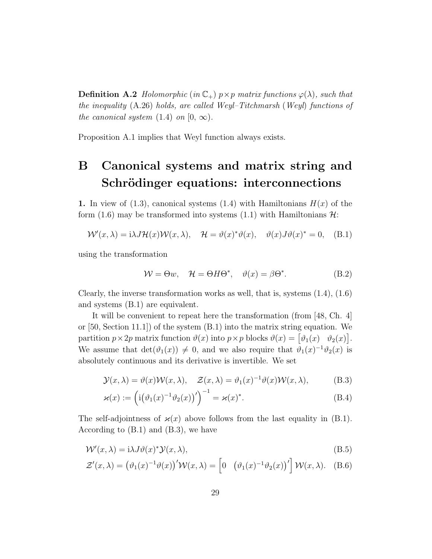**Definition A.2** Holomorphic (in  $\mathbb{C}_+$ )  $p \times p$  matrix functions  $\varphi(\lambda)$ , such that the inequality  $(A.26)$  holds, are called Weyl–Titchmarsh (Weyl) functions of the canonical system  $(1.4)$  on  $[0, \infty)$ .

Proposition A.1 implies that Weyl function always exists.

### B Canonical systems and matrix string and Schrödinger equations: interconnections

1. In view of (1.3), canonical systems (1.4) with Hamiltonians  $H(x)$  of the form (1.6) may be transformed into systems (1.1) with Hamiltonians  $\mathcal{H}$ :

$$
\mathcal{W}'(x,\lambda) = i\lambda J \mathcal{H}(x) \mathcal{W}(x,\lambda), \quad \mathcal{H} = \vartheta(x)^* \vartheta(x), \quad \vartheta(x) J \vartheta(x)^* = 0, \quad (B.1)
$$

using the transformation

$$
\mathcal{W} = \Theta w, \quad \mathcal{H} = \Theta H \Theta^*, \quad \vartheta(x) = \beta \Theta^*.
$$
 (B.2)

Clearly, the inverse transformation works as well, that is, systems (1.4), (1.6) and systems (B.1) are equivalent.

It will be convenient to repeat here the transformation (from [48, Ch. 4] or  $[50, Section 11.1])$  of the system  $(B.1)$  into the matrix string equation. We partition  $p \times 2p$  matrix function  $\vartheta(x)$  into  $p \times p$  blocks  $\vartheta(x) = \begin{bmatrix} \vartheta_1(x) & \vartheta_2(x) \end{bmatrix}$ . We assume that  $det(\vartheta_1(x)) \neq 0$ , and we also require that  $\vartheta_1(x)^{-1}\vartheta_2(x)$  is absolutely continuous and its derivative is invertible. We set

$$
\mathcal{Y}(x,\lambda) = \vartheta(x)\mathcal{W}(x,\lambda), \quad \mathcal{Z}(x,\lambda) = \vartheta_1(x)^{-1}\vartheta(x)\mathcal{W}(x,\lambda), \quad (B.3)
$$

$$
\varkappa(x) := \left(i(\vartheta_1(x)^{-1}\vartheta_2(x))'\right)^{-1} = \varkappa(x)^*.
$$
\n(B.4)

The self-adjointness of  $\varkappa(x)$  above follows from the last equality in (B.1). According to (B.1) and (B.3), we have

$$
W'(x,\lambda) = i\lambda J \vartheta(x)^* \mathcal{Y}(x,\lambda),\tag{B.5}
$$

$$
\mathcal{Z}'(x,\lambda) = \left(\vartheta_1(x)^{-1}\vartheta(x)\right)'\mathcal{W}(x,\lambda) = \left[0 \left(\vartheta_1(x)^{-1}\vartheta_2(x)\right)'\right]\mathcal{W}(x,\lambda). \quad (B.6)
$$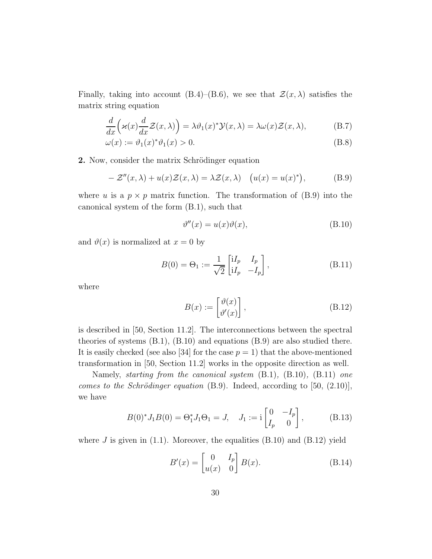Finally, taking into account (B.4)–(B.6), we see that  $\mathcal{Z}(x,\lambda)$  satisfies the matrix string equation

$$
\frac{d}{dx}\Big(\varkappa(x)\frac{d}{dx}\mathcal{Z}(x,\lambda)\Big) = \lambda \vartheta_1(x)^* \mathcal{Y}(x,\lambda) = \lambda \omega(x)\mathcal{Z}(x,\lambda),\tag{B.7}
$$

$$
\omega(x) := \vartheta_1(x)^* \vartheta_1(x) > 0. \tag{B.8}
$$

2. Now, consider the matrix Schrödinger equation

$$
- \mathcal{Z}''(x,\lambda) + u(x)\mathcal{Z}(x,\lambda) = \lambda \mathcal{Z}(x,\lambda) \quad \big(u(x) = u(x)^*\big), \tag{B.9}
$$

where u is a  $p \times p$  matrix function. The transformation of (B.9) into the canonical system of the form (B.1), such that

$$
\vartheta''(x) = u(x)\vartheta(x),\tag{B.10}
$$

and  $\vartheta(x)$  is normalized at  $x = 0$  by

$$
B(0) = \Theta_1 := \frac{1}{\sqrt{2}} \begin{bmatrix} iI_p & I_p \\ iI_p & -I_p \end{bmatrix},
$$
 (B.11)

where

$$
B(x) := \begin{bmatrix} \vartheta(x) \\ \vartheta'(x) \end{bmatrix},
$$
 (B.12)

is described in [50, Section 11.2]. The interconnections between the spectral theories of systems (B.1), (B.10) and equations (B.9) are also studied there. It is easily checked (see also [34] for the case  $p = 1$ ) that the above-mentioned transformation in [50, Section 11.2] works in the opposite direction as well.

Namely, starting from the canonical system (B.1), (B.10), (B.11) one comes to the Schrödinger equation  $(B.9)$ . Indeed, according to [50,  $(2.10)$ ], we have

$$
B(0)^* J_1 B(0) = \Theta_1^* J_1 \Theta_1 = J, \quad J_1 := \mathbf{i} \begin{bmatrix} 0 & -I_p \\ I_p & 0 \end{bmatrix}, \quad (B.13)
$$

where J is given in  $(1.1)$ . Moreover, the equalities  $(B.10)$  and  $(B.12)$  yield

$$
B'(x) = \begin{bmatrix} 0 & I_p \\ u(x) & 0 \end{bmatrix} B(x).
$$
 (B.14)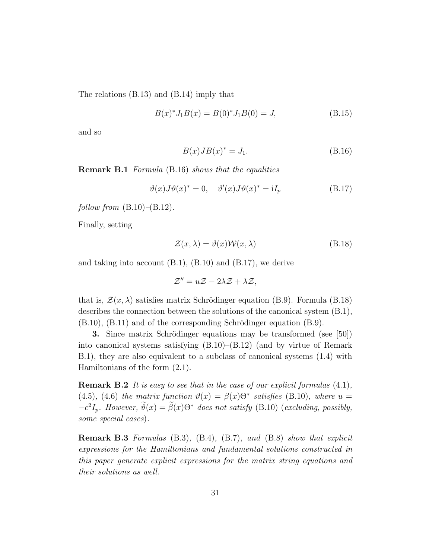The relations (B.13) and (B.14) imply that

$$
B(x)^* J_1 B(x) = B(0)^* J_1 B(0) = J,
$$
\n(B.15)

and so

$$
B(x)JB(x)^* = J_1. \tag{B.16}
$$

Remark B.1 Formula (B.16) shows that the equalities

$$
\vartheta(x)J\vartheta(x)^* = 0, \quad \vartheta'(x)J\vartheta(x)^* = iI_p \tag{B.17}
$$

follow from  $(B.10)$ – $(B.12)$ .

Finally, setting

$$
\mathcal{Z}(x,\lambda) = \vartheta(x)\mathcal{W}(x,\lambda) \tag{B.18}
$$

and taking into account (B.1), (B.10) and (B.17), we derive

$$
\mathcal{Z}''=u\mathcal{Z}-2\lambda\mathcal{Z}+\lambda\mathcal{Z},
$$

that is,  $\mathcal{Z}(x,\lambda)$  satisfies matrix Schrödinger equation (B.9). Formula (B.18) describes the connection between the solutions of the canonical system (B.1),  $(B.10)$ ,  $(B.11)$  and of the corresponding Schrödinger equation  $(B.9)$ .

3. Since matrix Schrödinger equations may be transformed (see [50]) into canonical systems satisfying (B.10)–(B.12) (and by virtue of Remark B.1), they are also equivalent to a subclass of canonical systems (1.4) with Hamiltonians of the form (2.1).

**Remark B.2** It is easy to see that in the case of our explicit formulas  $(4.1)$ , (4.5), (4.6) the matrix function  $\vartheta(x) = \beta(x)\Theta^*$  satisfies (B.10), where  $u =$  $-c^2I_p$ . However,  $\vartheta(x) = \beta(x)\Theta^*$  does not satisfy (B.10) (excluding, possibly, some special cases).

Remark B.3 Formulas (B.3), (B.4), (B.7), and (B.8) show that explicit expressions for the Hamiltonians and fundamental solutions constructed in this paper generate explicit expressions for the matrix string equations and their solutions as well.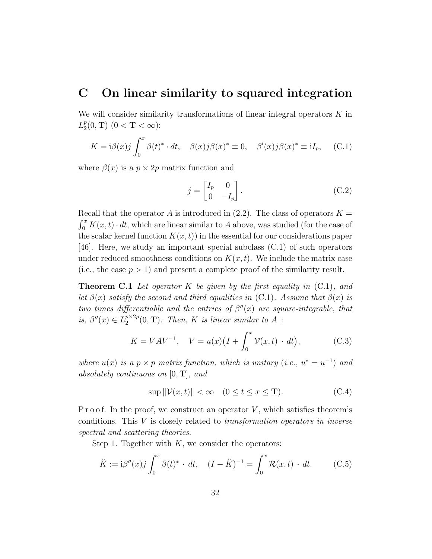### C On linear similarity to squared integration

We will consider similarity transformations of linear integral operators  $K$  in  $L_2^p$  $_{2}^{p}(0, T)$   $(0 < T < \infty)$ :

$$
K = i\beta(x)j \int_0^x \beta(t)^* \cdot dt, \quad \beta(x)j\beta(x)^* \equiv 0, \quad \beta'(x)j\beta(x)^* \equiv iI_p, \quad (C.1)
$$

where  $\beta(x)$  is a  $p \times 2p$  matrix function and

$$
j = \begin{bmatrix} I_p & 0 \\ 0 & -I_p \end{bmatrix} . \tag{C.2}
$$

Recall that the operator A is introduced in  $(2.2)$ . The class of operators  $K =$  $\int_0^x K(x, t) \cdot dt$ , which are linear similar to A above, was studied (for the case of the scalar kernel function  $K(x, t)$  in the essential for our considerations paper [46]. Here, we study an important special subclass (C.1) of such operators under reduced smoothness conditions on  $K(x, t)$ . We include the matrix case (i.e., the case  $p > 1$ ) and present a complete proof of the similarity result.

**Theorem C.1** Let operator K be given by the first equality in  $(C.1)$ , and let  $\beta(x)$  satisfy the second and third equalities in (C.1). Assume that  $\beta(x)$  is two times differentiable and the entries of  $\beta''(x)$  are square-integrable, that is,  $\beta''(x) \in L_2^{p \times 2p}$  $\binom{p\times 2p}{2}(0,\mathbf{T})$ . Then, K is linear similar to A :

$$
K = VAV^{-1}
$$
,  $V = u(x)(I + \int_0^x \mathcal{V}(x, t) \cdot dt)$ , (C.3)

where  $u(x)$  is a  $p \times p$  matrix function, which is unitary (i.e.,  $u^* = u^{-1}$ ) and absolutely continuous on  $[0, T]$ , and

$$
\sup \| \mathcal{V}(x,t) \| < \infty \quad (0 \le t \le x \le \mathbf{T}). \tag{C.4}
$$

P r o o f. In the proof, we construct an operator  $V$ , which satisfies theorem's conditions. This  $V$  is closely related to transformation operators in inverse spectral and scattering theories.

Step 1. Together with  $K$ , we consider the operators:

$$
\breve{K} := \mathrm{i}\beta''(x)j \int_0^x \beta(t)^* \cdot dt, \quad (I - \breve{K})^{-1} = \int_0^x \mathcal{R}(x,t) \cdot dt. \quad (C.5)
$$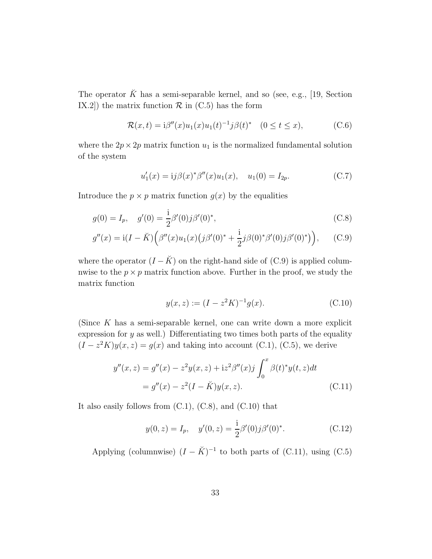The operator  $\check{K}$  has a semi-separable kernel, and so (see, e.g., [19, Section IX.2]) the matrix function  $\mathcal R$  in (C.5) has the form

$$
\mathcal{R}(x,t) = i\beta''(x)u_1(x)u_1(t)^{-1}j\beta(t)^* \quad (0 \le t \le x), \tag{C.6}
$$

where the  $2p \times 2p$  matrix function  $u_1$  is the normalized fundamental solution of the system

$$
u_1'(x) = i j \beta(x)^* \beta''(x) u_1(x), \quad u_1(0) = I_{2p}.
$$
 (C.7)

Introduce the  $p \times p$  matrix function  $g(x)$  by the equalities

$$
g(0) = I_p, \quad g'(0) = \frac{1}{2}\beta'(0)j\beta'(0)^*,
$$
\n(C.8)

$$
g''(x) = i(I - \breve{K}) \Big( \beta''(x) u_1(x) \big( j \beta'(0)^* + \frac{i}{2} j \beta(0)^* \beta'(0) j \beta'(0)^* \big) \Big), \quad (C.9)
$$

where the operator  $(I - \breve{K})$  on the right-hand side of (C.9) is applied columnwise to the  $p \times p$  matrix function above. Further in the proof, we study the matrix function

$$
y(x, z) := (I - z^2 K)^{-1} g(x).
$$
 (C.10)

(Since K has a semi-separable kernel, one can write down a more explicit expression for  $y$  as well.) Differentiating two times both parts of the equality  $(I - z<sup>2</sup>K)y(x, z) = g(x)$  and taking into account (C.1), (C.5), we derive

$$
y''(x, z) = g''(x) - z^2 y(x, z) + iz^2 \beta''(x) j \int_0^x \beta(t)^* y(t, z) dt
$$
  
=  $g''(x) - z^2 (I - \breve{K}) y(x, z).$  (C.11)

It also easily follows from  $(C.1)$ ,  $(C.8)$ , and  $(C.10)$  that

$$
y(0, z) = I_p, \quad y'(0, z) = \frac{i}{2}\beta'(0)j\beta'(0)^*.
$$
 (C.12)

Applying (columnwise)  $(I - \breve{K})^{-1}$  to both parts of (C.11), using (C.5)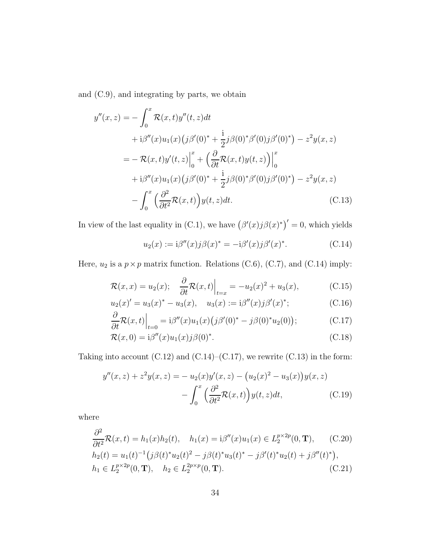and (C.9), and integrating by parts, we obtain

$$
y''(x, z) = -\int_0^x \mathcal{R}(x, t)y''(t, z)dt
$$
  
+  $i\beta''(x)u_1(x)(j\beta'(0)^* + \frac{i}{2}j\beta(0)^*\beta'(0)j\beta'(0)^*) - z^2y(x, z)$   
=  $-\mathcal{R}(x, t)y'(t, z)\Big|_0^x + \left(\frac{\partial}{\partial t}\mathcal{R}(x, t)y(t, z)\right)\Big|_0^x$   
+  $i\beta''(x)u_1(x)(j\beta'(0)^* + \frac{i}{2}j\beta(0)^*\beta'(0)j\beta'(0)^*) - z^2y(x, z)$   
-  $\int_0^x \left(\frac{\partial^2}{\partial t^2}\mathcal{R}(x, t)\right)y(t, z)dt.$  (C.13)

In view of the last equality in (C.1), we have  $(\beta'(x)j\beta(x)^*)' = 0$ , which yields

$$
u_2(x) := i\beta''(x)j\beta(x)^* = -i\beta'(x)j\beta'(x)^*.
$$
 (C.14)

Here,  $u_2$  is a  $p \times p$  matrix function. Relations (C.6), (C.7), and (C.14) imply:

$$
\mathcal{R}(x,x) = u_2(x); \quad \frac{\partial}{\partial t} \mathcal{R}(x,t) \Big|_{t=x} = -u_2(x)^2 + u_3(x), \quad (C.15)
$$

$$
u_2(x)' = u_3(x)^* - u_3(x), \quad u_3(x) := i\beta''(x)j\beta'(x)^*;
$$
 (C.16)

$$
\frac{\partial}{\partial t} \mathcal{R}(x,t) \Big|_{t=0} = \mathrm{i} \beta''(x) u_1(x) \big( j \beta'(0)^* - j \beta(0)^* u_2(0) \big); \tag{C.17}
$$

$$
\mathcal{R}(x,0) = \mathrm{i}\beta''(x)u_1(x)j\beta(0)^*.\tag{C.18}
$$

Taking into account  $(C.12)$  and  $(C.14)$ – $(C.17)$ , we rewrite  $(C.13)$  in the form:

$$
y''(x, z) + z^2 y(x, z) = -u_2(x)y'(x, z) - (u_2(x)^2 - u_3(x))y(x, z)
$$

$$
- \int_0^x \left(\frac{\partial^2}{\partial t^2} \mathcal{R}(x, t)\right) y(t, z) dt, \tag{C.19}
$$

where

$$
\frac{\partial^2}{\partial t^2} \mathcal{R}(x,t) = h_1(x)h_2(t), \quad h_1(x) = i\beta''(x)u_1(x) \in L_2^{p \times 2p}(0, \mathbf{T}), \quad (C.20)
$$
  
\n
$$
h_2(t) = u_1(t)^{-1} (j\beta(t)^*u_2(t)^2 - j\beta(t)^*u_3(t)^* - j\beta'(t)^*u_2(t) + j\beta''(t)^*),
$$
  
\n
$$
h_1 \in L_2^{p \times 2p}(0, \mathbf{T}), \quad h_2 \in L_2^{2p \times p}(0, \mathbf{T}). \quad (C.21)
$$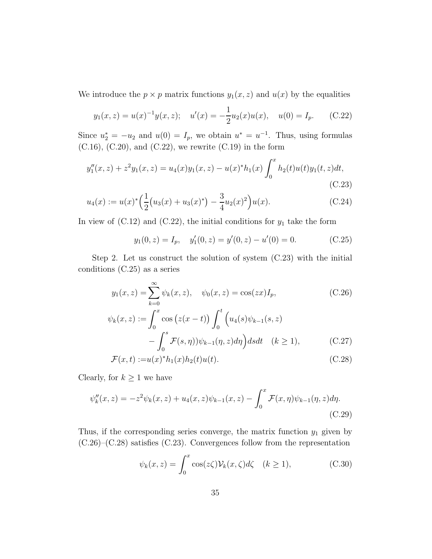We introduce the  $p \times p$  matrix functions  $y_1(x, z)$  and  $u(x)$  by the equalities

$$
y_1(x, z) = u(x)^{-1}y(x, z);
$$
  $u'(x) = -\frac{1}{2}u_2(x)u(x),$   $u(0) = I_p.$  (C.22)

Since  $u_2^* = -u_2$  and  $u(0) = I_p$ , we obtain  $u^* = u^{-1}$ . Thus, using formulas  $(C.16)$ ,  $(C.20)$ , and  $(C.22)$ , we rewrite  $(C.19)$  in the form

$$
y_1''(x, z) + z^2 y_1(x, z) = u_4(x) y_1(x, z) - u(x)^* h_1(x) \int_0^x h_2(t) u(t) y_1(t, z) dt,
$$
\n(C.23)

$$
u_4(x) := u(x)^* \left(\frac{1}{2} \left(u_3(x) + u_3(x)^*\right) - \frac{3}{4} u_2(x)^2\right) u(x).
$$
 (C.24)

In view of  $(C.12)$  and  $(C.22)$ , the initial conditions for  $y_1$  take the form

$$
y_1(0, z) = I_p, \quad y'_1(0, z) = y'(0, z) - u'(0) = 0.
$$
 (C.25)

Step 2. Let us construct the solution of system (C.23) with the initial conditions (C.25) as a series

$$
y_1(x, z) = \sum_{k=0}^{\infty} \psi_k(x, z), \quad \psi_0(x, z) = \cos(zx)I_p,
$$
 (C.26)

$$
\psi_k(x, z) := \int_0^x \cos\left(z(x - t)\right) \int_0^t \left(u_4(s)\psi_{k-1}(s, z) - \int_0^s \mathcal{F}(s, \eta)\right) \psi_{k-1}(\eta, z) d\eta \, dsdt \quad (k \ge 1), \tag{C.27}
$$

$$
\mathcal{F}(x,t) := u(x)^* h_1(x) h_2(t) u(t).
$$
\n(C.28)

Clearly, for  $k \geq 1$  we have

$$
\psi_k''(x, z) = -z^2 \psi_k(x, z) + u_4(x, z)\psi_{k-1}(x, z) - \int_0^x \mathcal{F}(x, \eta)\psi_{k-1}(\eta, z)d\eta.
$$
\n(C.29)

Thus, if the corresponding series converge, the matrix function  $y_1$  given by  $(C.26)$ – $(C.28)$  satisfies  $(C.23)$ . Convergences follow from the representation

$$
\psi_k(x, z) = \int_0^x \cos(z\zeta) \mathcal{V}_k(x, \zeta) d\zeta \quad (k \ge 1), \tag{C.30}
$$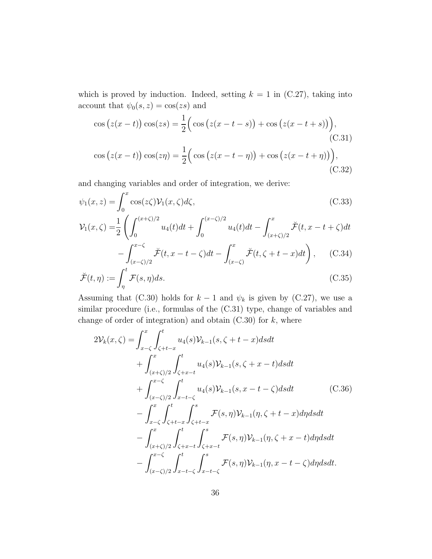which is proved by induction. Indeed, setting  $k = 1$  in (C.27), taking into account that  $\psi_0(s, z) = \cos(zs)$  and

$$
\cos(z(x-t))\cos(zs) = \frac{1}{2}\Big(\cos(z(x-t-s)) + \cos(z(x-t+s))\Big),\tag{C.31}
$$
  

$$
\cos(z(x-t))\cos(z\eta) = \frac{1}{2}\Big(\cos(z(x-t-\eta)) + \cos(z(x-t+\eta))\Big),\tag{C.32}
$$

and changing variables and order of integration, we derive:

$$
\psi_1(x,z) = \int_0^x \cos(z\zeta) \mathcal{V}_1(x,\zeta) d\zeta,
$$
\n(C.33)

$$
\mathcal{V}_1(x,\zeta) = \frac{1}{2} \left( \int_0^{(x+\zeta)/2} u_4(t)dt + \int_0^{(x-\zeta)/2} u_4(t)dt - \int_{(x+\zeta)/2}^x \breve{\mathcal{F}}(t, x - t + \zeta)dt - \int_{(x-\zeta)/2}^{x-\zeta} \breve{\mathcal{F}}(t, x - t - \zeta)dt - \int_{(x-\zeta)}^x \breve{\mathcal{F}}(t, \zeta + t - x)dt \right), \quad (C.34)
$$

$$
\breve{\mathcal{F}}(t,\eta) := \int_{\eta}^{t} \mathcal{F}(s,\eta)ds. \tag{C.35}
$$

Assuming that (C.30) holds for  $k - 1$  and  $\psi_k$  is given by (C.27), we use a similar procedure (i.e., formulas of the (C.31) type, change of variables and change of order of integration) and obtain  $(C.30)$  for k, where

$$
2V_{k}(x,\zeta) = \int_{x-\zeta}^{x} \int_{\zeta+t-x}^{t} u_{4}(s)V_{k-1}(s,\zeta+t-x)dsdt + \int_{(x+\zeta)/2}^{x} \int_{\zeta+x-t}^{t} u_{4}(s)V_{k-1}(s,\zeta+x-t)dsdt + \int_{(x-\zeta)/2}^{x-\zeta} \int_{x-t-\zeta}^{t} u_{4}(s)V_{k-1}(s,x-t-\zeta)dsdt \qquad (C.36)- \int_{x-\zeta}^{x} \int_{\zeta+t-x}^{t} \int_{\zeta+t-x}^{s} \mathcal{F}(s,\eta)V_{k-1}(\eta,\zeta+t-x)d\eta dsdt - \int_{(x+\zeta)/2}^{x} \int_{\zeta+x-t}^{t} \int_{\zeta+x-t}^{s} \mathcal{F}(s,\eta)V_{k-1}(\eta,\zeta+x-t)d\eta dsdt - \int_{(x-\zeta)/2}^{x-\zeta} \int_{x-t-\zeta}^{t} \int_{x-t-\zeta}^{s} \mathcal{F}(s,\eta)V_{k-1}(\eta,x-t-\zeta)d\eta dsdt.
$$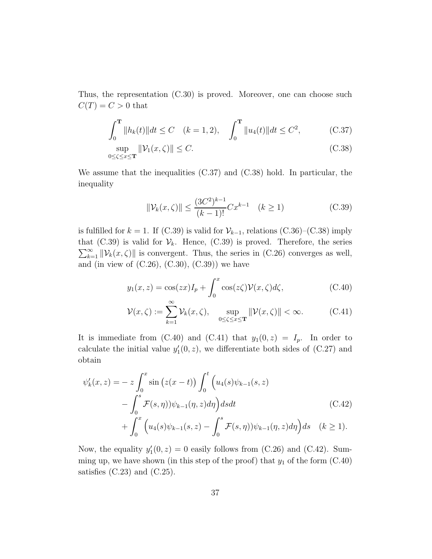Thus, the representation (C.30) is proved. Moreover, one can choose such  $C(T) = C > 0$  that

$$
\int_0^{\mathbf{T}} \|h_k(t)\| dt \le C \quad (k = 1, 2), \quad \int_0^{\mathbf{T}} \|u_4(t)\| dt \le C^2, \tag{C.37}
$$

$$
\sup_{0 \le \zeta \le x \le T} \|\mathcal{V}_1(x,\zeta)\| \le C. \tag{C.38}
$$

We assume that the inequalities (C.37) and (C.38) hold. In particular, the inequality

$$
\|\mathcal{V}_k(x,\zeta)\| \le \frac{(3C^2)^{k-1}}{(k-1)!} C x^{k-1} \quad (k \ge 1)
$$
 (C.39)

is fulfilled for  $k = 1$ . If (C.39) is valid for  $\mathcal{V}_{k-1}$ , relations (C.36)–(C.38) imply that (C.39) is valid for  $\mathcal{V}_k$ . Hence, (C.39) is proved. Therefore, the series  $\sum_{k=1}^{\infty} ||\mathcal{V}_k(x,\zeta)||$  is convergent. Thus, the series in (C.26) converges as well, and (in view of  $(C.26)$ ,  $(C.30)$ ,  $(C.39)$ ) we have

$$
y_1(x, z) = \cos(zx)I_p + \int_0^x \cos(z\zeta)\mathcal{V}(x, \zeta)d\zeta,
$$
 (C.40)

$$
\mathcal{V}(x,\zeta) := \sum_{k=1}^{\infty} \mathcal{V}_k(x,\zeta), \quad \sup_{0 \le \zeta \le x \le \mathbf{T}} \|\mathcal{V}(x,\zeta)\| < \infty. \tag{C.41}
$$

It is immediate from (C.40) and (C.41) that  $y_1(0, z) = I_p$ . In order to calculate the initial value  $y'_1(0, z)$ , we differentiate both sides of (C.27) and obtain

$$
\psi'_{k}(x, z) = -z \int_0^x \sin (z(x - t)) \int_0^t (u_4(s)\psi_{k-1}(s, z) - \int_0^s \mathcal{F}(s, \eta))\psi_{k-1}(\eta, z)d\eta \Big) dsdt
$$
\n(C.42)  
+ 
$$
\int_0^x (u_4(s)\psi_{k-1}(s, z) - \int_0^s \mathcal{F}(s, \eta))\psi_{k-1}(\eta, z)d\eta \Big) ds \quad (k \ge 1).
$$

Now, the equality  $y'_1(0, z) = 0$  easily follows from (C.26) and (C.42). Summing up, we have shown (in this step of the proof) that  $y_1$  of the form  $(C.40)$ satisfies  $(C.23)$  and  $(C.25)$ .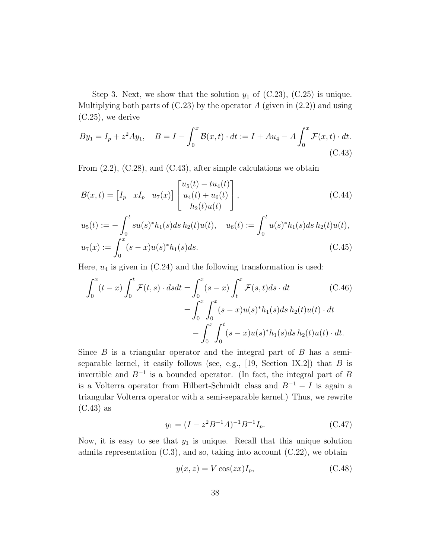Step 3. Next, we show that the solution  $y_1$  of (C.23), (C.25) is unique. Multiplying both parts of  $(C.23)$  by the operator A (given in  $(2.2)$ ) and using (C.25), we derive

$$
By_1 = I_p + z^2 A y_1, \quad B = I - \int_0^x \mathcal{B}(x, t) \cdot dt := I + A u_4 - A \int_0^x \mathcal{F}(x, t) \cdot dt. \tag{C.43}
$$

From  $(2.2)$ ,  $(C.28)$ , and  $(C.43)$ , after simple calculations we obtain

$$
\mathcal{B}(x,t) = \begin{bmatrix} I_p & xI_p & u_7(x) \end{bmatrix} \begin{bmatrix} u_5(t) - tu_4(t) \\ u_4(t) + u_6(t) \\ h_2(t)u(t) \end{bmatrix},
$$
\n(C.44)\n
$$
u_5(t) := -\int_0^t su(s)^* h_1(s) ds h_2(t)u(t), \quad u_6(t) := \int_0^t u(s)^* h_1(s) ds h_2(t)u(t),
$$
\n
$$
u_7(x) := \int_0^x (s-x)u(s)^* h_1(s) ds.
$$
\n(C.45)

Here,  $u_4$  is given in (C.24) and the following transformation is used:

$$
\int_{0}^{x} (t - x) \int_{0}^{t} \mathcal{F}(t, s) \cdot ds dt = \int_{0}^{x} (s - x) \int_{t}^{x} \mathcal{F}(s, t) ds \cdot dt \qquad (C.46)
$$

$$
= \int_{0}^{x} \int_{0}^{x} (s - x) u(s)^{*} h_{1}(s) ds h_{2}(t) u(t) \cdot dt
$$

$$
- \int_{0}^{x} \int_{0}^{t} (s - x) u(s)^{*} h_{1}(s) ds h_{2}(t) u(t) \cdot dt.
$$

Since  $B$  is a triangular operator and the integral part of  $B$  has a semiseparable kernel, it easily follows (see, e.g.,  $[19, \text{ Section IX.2}]$ ) that B is invertible and  $B^{-1}$  is a bounded operator. (In fact, the integral part of B is a Volterra operator from Hilbert-Schmidt class and  $B^{-1} - I$  is again a triangular Volterra operator with a semi-separable kernel.) Thus, we rewrite (C.43) as

$$
y_1 = (I - z^2 B^{-1} A)^{-1} B^{-1} I_p. \tag{C.47}
$$

Now, it is easy to see that  $y_1$  is unique. Recall that this unique solution admits representation  $(C.3)$ , and so, taking into account  $(C.22)$ , we obtain

$$
y(x, z) = V \cos(zx) I_p,
$$
 (C.48)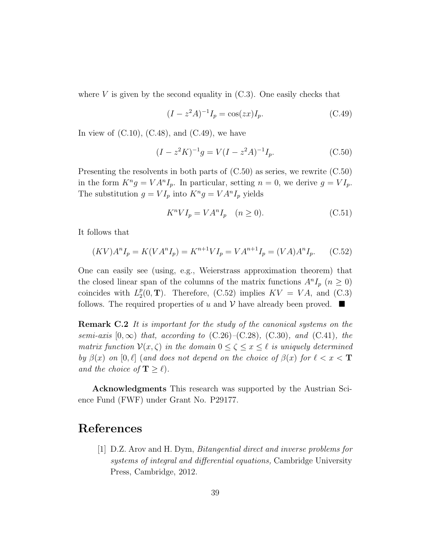where  $V$  is given by the second equality in  $(C.3)$ . One easily checks that

$$
(I - z2 A)^{-1} Ip = \cos(zx) Ip.
$$
 (C.49)

In view of  $(C.10)$ ,  $(C.48)$ , and  $(C.49)$ , we have

$$
(I - z2 K)-1 g = V(I - z2 A)-1 Ip.
$$
 (C.50)

Presenting the resolvents in both parts of (C.50) as series, we rewrite (C.50) in the form  $K^n g = V A^n I_p$ . In particular, setting  $n = 0$ , we derive  $g = VI_p$ . The substitution  $g = VI_p$  into  $K^n g = VA^n I_p$  yields

$$
K^n V I_p = V A^n I_p \quad (n \ge 0). \tag{C.51}
$$

It follows that

$$
(KV)AnIp = K(VAnIp) = Kn+1VIp = VAn+1Ip = (VA)AnIp.
$$
 (C.52)

One can easily see (using, e.g., Weierstrass approximation theorem) that the closed linear span of the columns of the matrix functions  $A^n I_p$   $(n \geq 0)$ coincides with  $L_2^p$  $Z_2^p(0,T)$ . Therefore, (C.52) implies  $KV = VA$ , and (C.3) follows. The required properties of u and  $V$  have already been proved.  $\blacksquare$ 

Remark C.2 It is important for the study of the canonical systems on the semi-axis  $[0, \infty)$  that, according to  $(C.26)$ – $(C.28)$ ,  $(C.30)$ , and  $(C.41)$ , the matrix function  $\mathcal{V}(x,\zeta)$  in the domain  $0 \leq \zeta \leq x \leq \ell$  is uniquely determined by  $\beta(x)$  on  $[0, \ell]$  (and does not depend on the choice of  $\beta(x)$  for  $\ell < x < T$ and the choice of  $\mathbf{T} \geq \ell$ ).

Acknowledgments This research was supported by the Austrian Science Fund (FWF) under Grant No. P29177.

#### References

[1] D.Z. Arov and H. Dym, Bitangential direct and inverse problems for systems of integral and differential equations, Cambridge University Press, Cambridge, 2012.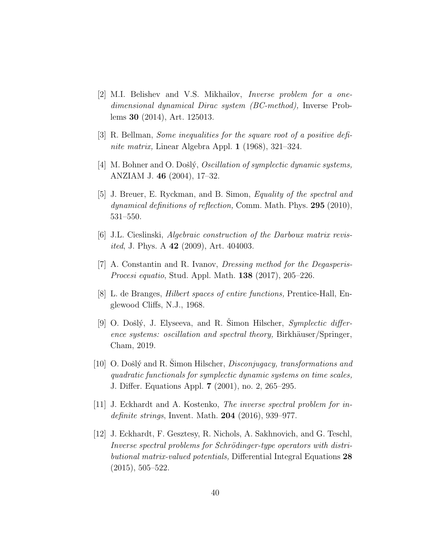- [2] M.I. Belishev and V.S. Mikhailov, Inverse problem for a onedimensional dynamical Dirac system (BC-method), Inverse Problems 30 (2014), Art. 125013.
- [3] R. Bellman, Some inequalities for the square root of a positive definite matrix, Linear Algebra Appl. 1 (1968), 321–324.
- [4] M. Bohner and O. Došlý, *Oscillation of symplectic dynamic systems*, ANZIAM J. 46 (2004), 17–32.
- [5] J. Breuer, E. Ryckman, and B. Simon, Equality of the spectral and dynamical definitions of reflection, Comm. Math. Phys. 295 (2010), 531–550.
- [6] J.L. Cieslinski, Algebraic construction of the Darboux matrix revis*ited*, J. Phys. A **42** (2009), Art. 404003.
- [7] A. Constantin and R. Ivanov, Dressing method for the Degasperis-Procesi equatio, Stud. Appl. Math. 138 (2017), 205–226.
- [8] L. de Branges, Hilbert spaces of entire functions, Prentice-Hall, Englewood Cliffs, N.J., 1968.
- [9] O. Došlý, J. Elyseeva, and R. Simon Hilscher,  $Symplectic$  difference systems: oscillation and spectral theory, Birkhäuser/Springer, Cham, 2019.
- [10] O. Došlý and R. Simon Hilscher, *Disconjugacy*, transformations and quadratic functionals for symplectic dynamic systems on time scales, J. Differ. Equations Appl. 7 (2001), no. 2, 265–295.
- [11] J. Eckhardt and A. Kostenko, The inverse spectral problem for indefinite strings, Invent. Math.  $204$  (2016), 939–977.
- [12] J. Eckhardt, F. Gesztesy, R. Nichols, A. Sakhnovich, and G. Teschl, Inverse spectral problems for Schrödinger-type operators with distributional matrix-valued potentials, Differential Integral Equations 28 (2015), 505–522.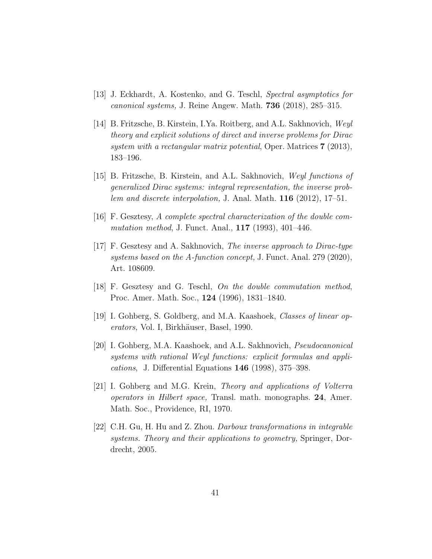- [13] J. Eckhardt, A. Kostenko, and G. Teschl, Spectral asymptotics for canonical systems, J. Reine Angew. Math. 736 (2018), 285–315.
- [14] B. Fritzsche, B. Kirstein, I.Ya. Roitberg, and A.L. Sakhnovich, Weyl theory and explicit solutions of direct and inverse problems for Dirac system with a rectangular matrix potential, Oper. Matrices 7 (2013), 183–196.
- [15] B. Fritzsche, B. Kirstein, and A.L. Sakhnovich, Weyl functions of generalized Dirac systems: integral representation, the inverse problem and discrete interpolation, J. Anal. Math.  $116$  (2012), 17–51.
- [16] F. Gesztesy, A complete spectral characterization of the double commutation method, J. Funct. Anal., **117** (1993), 401–446.
- [17] F. Gesztesy and A. Sakhnovich, The inverse approach to Dirac-type systems based on the A-function concept, J. Funct. Anal. 279 (2020), Art. 108609.
- [18] F. Gesztesy and G. Teschl, On the double commutation method, Proc. Amer. Math. Soc., 124 (1996), 1831–1840.
- [19] I. Gohberg, S. Goldberg, and M.A. Kaashoek, Classes of linear operators, Vol. I, Birkhäuser, Basel, 1990.
- [20] I. Gohberg, M.A. Kaashoek, and A.L. Sakhnovich, *Pseudocanonical* systems with rational Weyl functions: explicit formulas and applications, J. Differential Equations 146 (1998), 375–398.
- [21] I. Gohberg and M.G. Krein, Theory and applications of Volterra operators in Hilbert space, Transl. math. monographs. 24, Amer. Math. Soc., Providence, RI, 1970.
- [22] C.H. Gu, H. Hu and Z. Zhou. Darboux transformations in integrable systems. Theory and their applications to geometry, Springer, Dordrecht, 2005.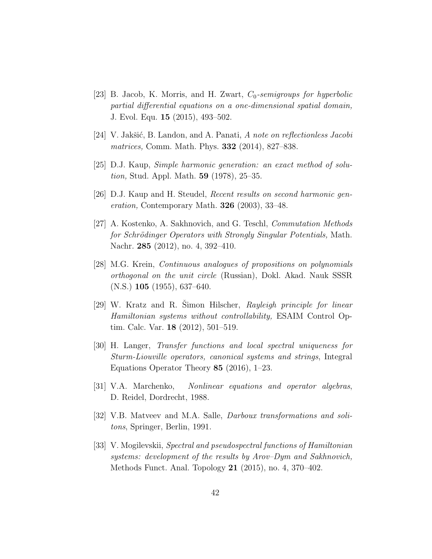- [23] B. Jacob, K. Morris, and H. Zwart,  $C_0$ -semigroups for hyperbolic partial differential equations on a one-dimensional spatial domain, J. Evol. Equ. 15 (2015), 493–502.
- [24] V. Jakšić, B. Landon, and A. Panati, A note on reflectionless Jacobi matrices, Comm. Math. Phys. **332** (2014), 827–838.
- [25] D.J. Kaup, Simple harmonic generation: an exact method of solution, Stud. Appl. Math. 59 (1978), 25–35.
- [26] D.J. Kaup and H. Steudel, Recent results on second harmonic generation, Contemporary Math. 326 (2003), 33–48.
- [27] A. Kostenko, A. Sakhnovich, and G. Teschl, Commutation Methods for Schrödinger Operators with Strongly Singular Potentials, Math. Nachr. 285 (2012), no. 4, 392–410.
- [28] M.G. Krein, Continuous analogues of propositions on polynomials orthogonal on the unit circle (Russian), Dokl. Akad. Nauk SSSR (N.S.) 105 (1955), 637–640.
- [29] W. Kratz and R. Simon Hilscher, Rayleigh principle for linear Hamiltonian systems without controllability, ESAIM Control Optim. Calc. Var. 18 (2012), 501–519.
- [30] H. Langer, Transfer functions and local spectral uniqueness for Sturm-Liouville operators, canonical systems and strings, Integral Equations Operator Theory 85 (2016), 1–23.
- [31] V.A. Marchenko, Nonlinear equations and operator algebras, D. Reidel, Dordrecht, 1988.
- [32] V.B. Matveev and M.A. Salle, *Darboux transformations and soli*tons, Springer, Berlin, 1991.
- [33] V. Mogilevskii, Spectral and pseudospectral functions of Hamiltonian systems: development of the results by Arov–Dym and Sakhnovich, Methods Funct. Anal. Topology 21 (2015), no. 4, 370–402.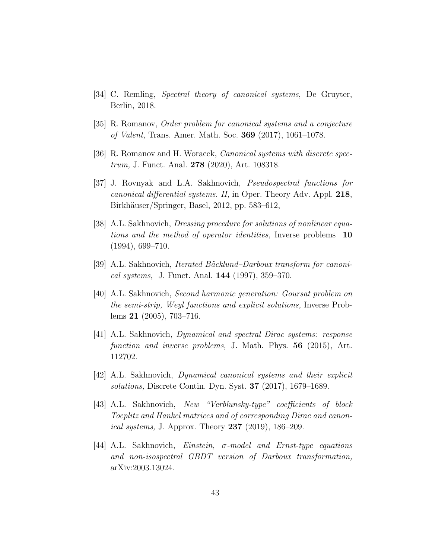- [34] C. Remling, Spectral theory of canonical systems, De Gruyter, Berlin, 2018.
- [35] R. Romanov, Order problem for canonical systems and a conjecture of Valent, Trans. Amer. Math. Soc. 369 (2017), 1061–1078.
- [36] R. Romanov and H. Woracek, *Canonical systems with discrete spec*trum, J. Funct. Anal. 278 (2020), Art. 108318.
- [37] J. Rovnyak and L.A. Sakhnovich, Pseudospectral functions for canonical differential systems. II, in Oper. Theory Adv. Appl. 218, Birkhäuser/Springer, Basel, 2012, pp. 583–612,
- [38] A.L. Sakhnovich, *Dressing procedure for solutions of nonlinear equa*tions and the method of operator identities, Inverse problems 10 (1994), 699–710.
- [39] A.L. Sakhnovich, *Iterated Bäcklund–Darboux transform for canoni*cal systems, J. Funct. Anal. 144 (1997), 359–370.
- [40] A.L. Sakhnovich, Second harmonic generation: Goursat problem on the semi-strip, Weyl functions and explicit solutions, Inverse Problems 21 (2005), 703–716.
- [41] A.L. Sakhnovich, Dynamical and spectral Dirac systems: response function and inverse problems, J. Math. Phys. 56 (2015), Art. 112702.
- [42] A.L. Sakhnovich, Dynamical canonical systems and their explicit solutions, Discrete Contin. Dyn. Syst. 37 (2017), 1679–1689.
- [43] A.L. Sakhnovich, New "Verblunsky-type" coefficients of block Toeplitz and Hankel matrices and of corresponding Dirac and canon*ical systems*, J. Approx. Theory  $237$  (2019), 186–209.
- [44] A.L. Sakhnovich, *Einstein,*  $\sigma$ -model and *Ernst-type equations* and non-isospectral GBDT version of Darboux transformation, arXiv:2003.13024.